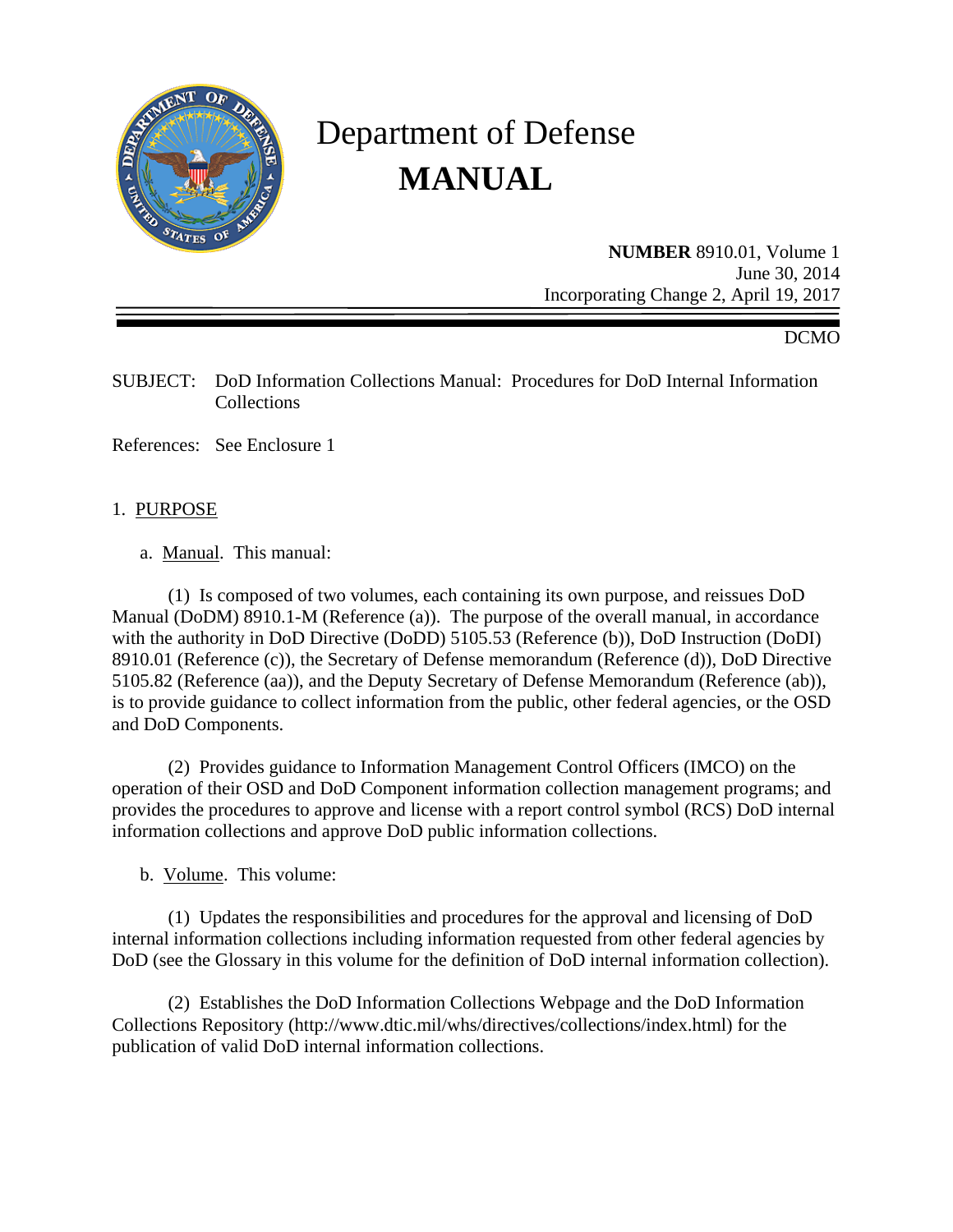

# Department of Defense **MANUAL**

**NUMBER** 8910.01, Volume 1 June 30, 2014 Incorporating Change 2, April 19, 2017

#### DCMO

SUBJECT: DoD Information Collections Manual: Procedures for DoD Internal Information Collections

References: See Enclosure 1

#### 1. PURPOSE

a. Manual. This manual:

 (1) Is composed of two volumes, each containing its own purpose, and reissues DoD Manual (DoDM) 8910.1-M (Reference (a)). The purpose of the overall manual, in accordance with the authority in DoD Directive (DoDD) 5105.53 (Reference (b)), DoD Instruction (DoDI) 8910.01 (Reference (c)), the Secretary of Defense memorandum (Reference (d)), DoD Directive 5105.82 (Reference (aa)), and the Deputy Secretary of Defense Memorandum (Reference (ab)), is to provide guidance to collect information from the public, other federal agencies, or the OSD and DoD Components.

 (2) Provides guidance to Information Management Control Officers (IMCO) on the operation of their OSD and DoD Component information collection management programs; and provides the procedures to approve and license with a report control symbol (RCS) DoD internal information collections and approve DoD public information collections.

b. Volume. This volume:

 (1) Updates the responsibilities and procedures for the approval and licensing of DoD internal information collections including information requested from other federal agencies by DoD (see the Glossary in this volume for the definition of DoD internal information collection).

 (2) Establishes the DoD Information Collections Webpage and the DoD Information Collections Repository (http://www.dtic.mil/whs/directives/collections/index.html) for the publication of valid DoD internal information collections.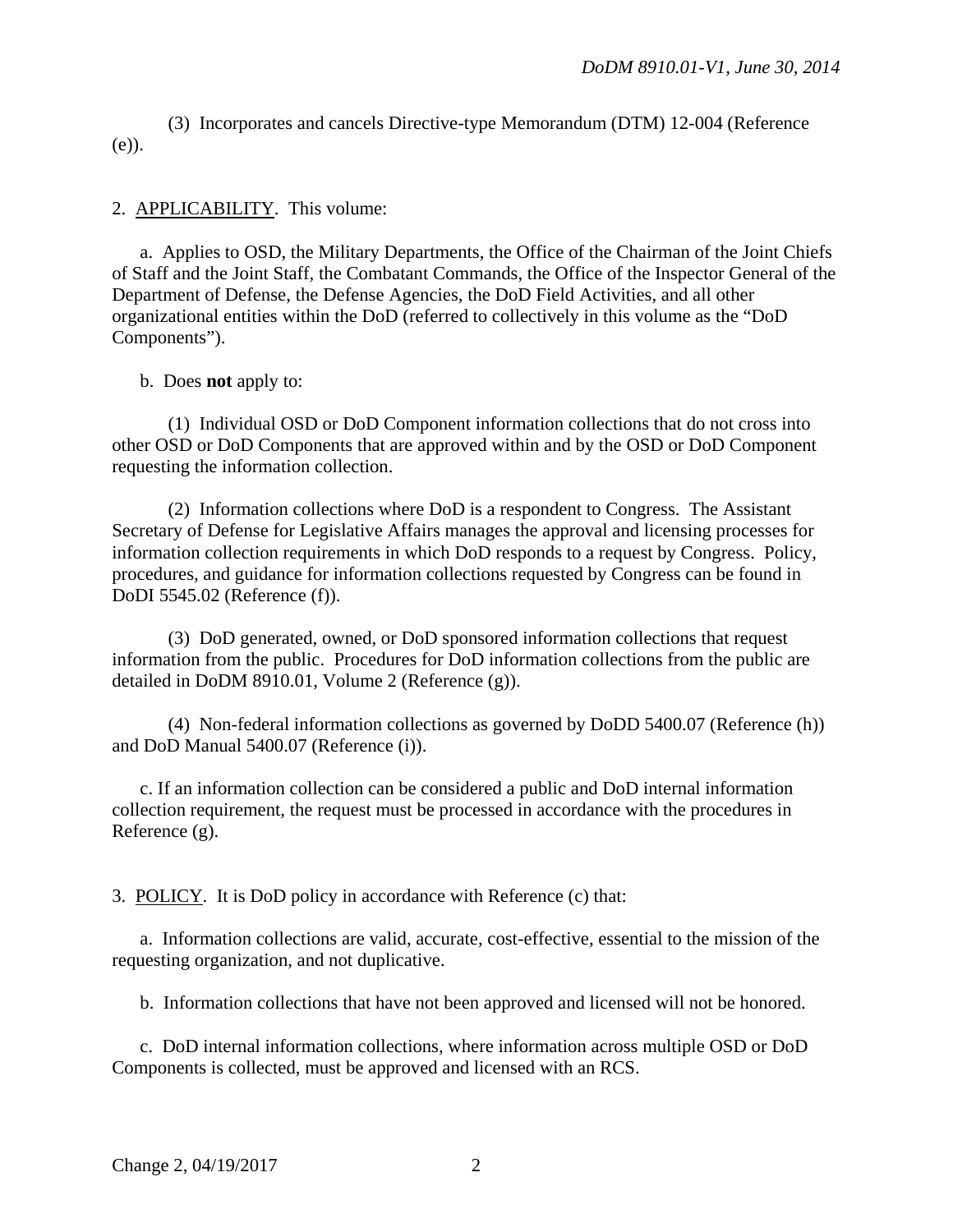(3) Incorporates and cancels Directive-type Memorandum (DTM) 12-004 (Reference (e)).

2. APPLICABILITY. This volume:

 a. Applies to OSD, the Military Departments, the Office of the Chairman of the Joint Chiefs of Staff and the Joint Staff, the Combatant Commands, the Office of the Inspector General of the Department of Defense, the Defense Agencies, the DoD Field Activities, and all other organizational entities within the DoD (referred to collectively in this volume as the "DoD Components").

b. Does **not** apply to:

 (1) Individual OSD or DoD Component information collections that do not cross into other OSD or DoD Components that are approved within and by the OSD or DoD Component requesting the information collection.

 (2) Information collections where DoD is a respondent to Congress. The Assistant Secretary of Defense for Legislative Affairs manages the approval and licensing processes for information collection requirements in which DoD responds to a request by Congress. Policy, procedures, and guidance for information collections requested by Congress can be found in DoDI 5545.02 (Reference (f)).

 (3) DoD generated, owned, or DoD sponsored information collections that request information from the public. Procedures for DoD information collections from the public are detailed in DoDM 8910.01, Volume 2 (Reference (g)).

 (4) Non-federal information collections as governed by DoDD 5400.07 (Reference (h)) and DoD Manual 5400.07 (Reference (i)).

 c. If an information collection can be considered a public and DoD internal information collection requirement, the request must be processed in accordance with the procedures in Reference (g).

3. POLICY. It is DoD policy in accordance with Reference (c) that:

a. Information collections are valid, accurate, cost-effective, essential to the mission of the requesting organization, and not duplicative.

b. Information collections that have not been approved and licensed will not be honored.

 c. DoD internal information collections, where information across multiple OSD or DoD Components is collected, must be approved and licensed with an RCS.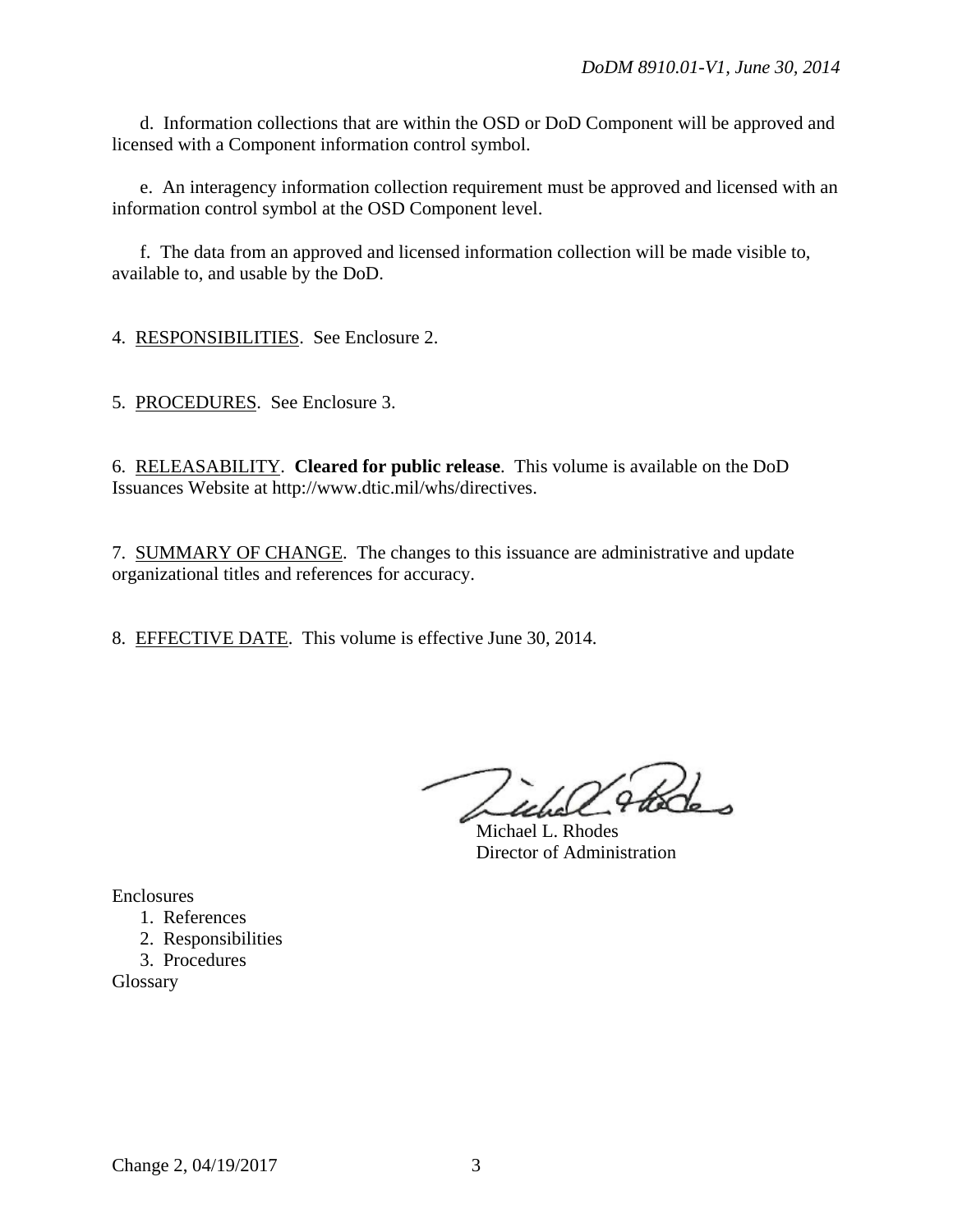d. Information collections that are within the OSD or DoD Component will be approved and licensed with a Component information control symbol.

 e. An interagency information collection requirement must be approved and licensed with an information control symbol at the OSD Component level.

 f. The data from an approved and licensed information collection will be made visible to, available to, and usable by the DoD.

4. RESPONSIBILITIES. See Enclosure 2.

5. PROCEDURES. See Enclosure 3.

6. RELEASABILITY. **Cleared for public release**. This volume is available on the DoD Issuances Website at http://www.dtic.mil/whs/directives.

7. SUMMARY OF CHANGE. The changes to this issuance are administrative and update organizational titles and references for accuracy.

8. EFFECTIVE DATE. This volume is effective June 30, 2014.

Michael L. Rhodes Director of Administration

Enclosures

- 1. References
- 2. Responsibilities
- 3. Procedures

Glossary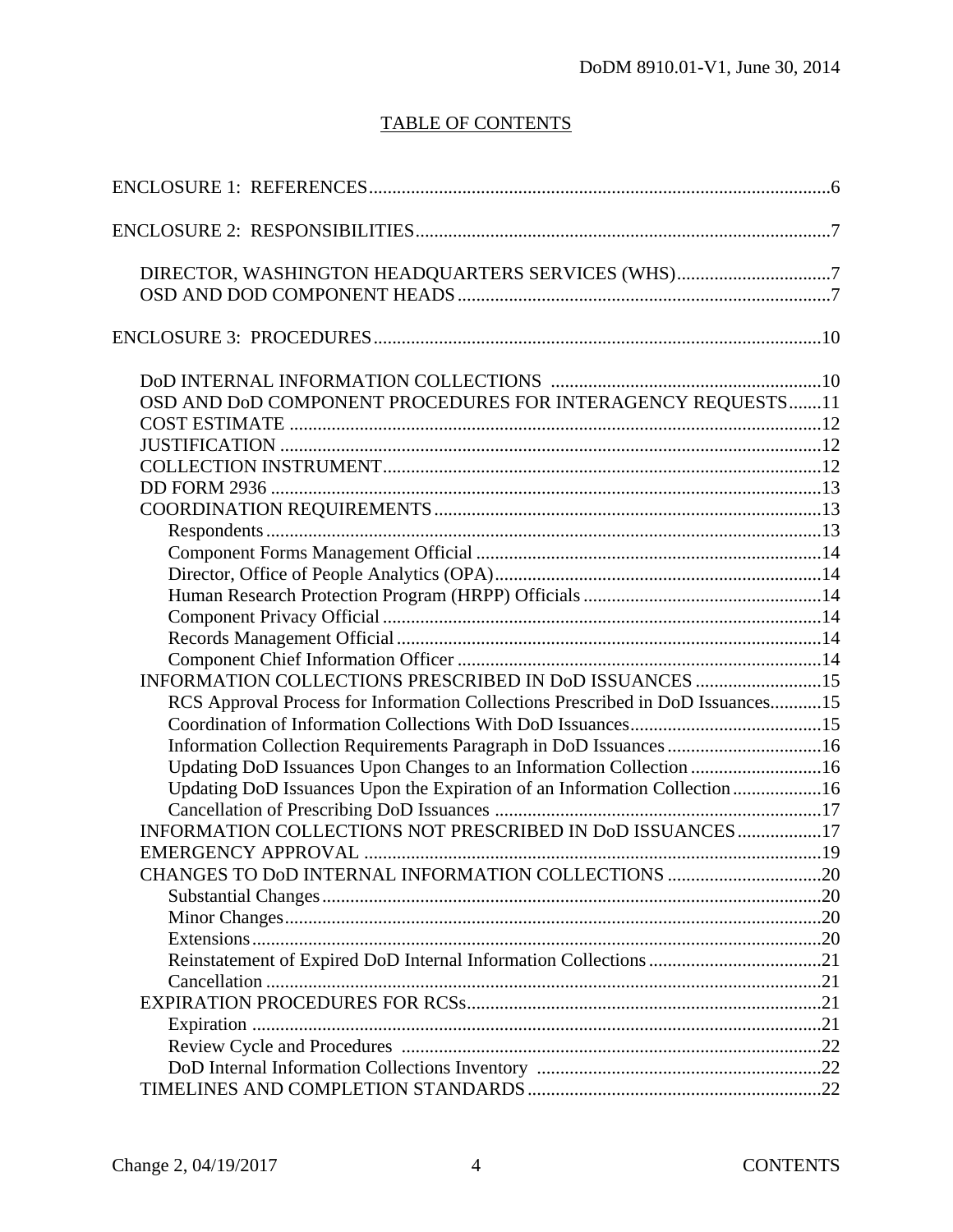# TABLE OF CONTENTS

| DIRECTOR, WASHINGTON HEADQUARTERS SERVICES (WHS)7                              |  |
|--------------------------------------------------------------------------------|--|
|                                                                                |  |
|                                                                                |  |
|                                                                                |  |
| OSD AND DoD COMPONENT PROCEDURES FOR INTERAGENCY REQUESTS 11                   |  |
|                                                                                |  |
|                                                                                |  |
|                                                                                |  |
|                                                                                |  |
|                                                                                |  |
|                                                                                |  |
|                                                                                |  |
|                                                                                |  |
|                                                                                |  |
|                                                                                |  |
|                                                                                |  |
|                                                                                |  |
| INFORMATION COLLECTIONS PRESCRIBED IN DoD ISSUANCES 15                         |  |
| RCS Approval Process for Information Collections Prescribed in DoD Issuances15 |  |
|                                                                                |  |
| Information Collection Requirements Paragraph in DoD Issuances 16              |  |
| Updating DoD Issuances Upon Changes to an Information Collection 16            |  |
| Updating DoD Issuances Upon the Expiration of an Information Collection 16     |  |
|                                                                                |  |
| INFORMATION COLLECTIONS NOT PRESCRIBED IN DoD ISSUANCES17                      |  |
|                                                                                |  |
| CHANGES TO DoD INTERNAL INFORMATION COLLECTIONS 20                             |  |
|                                                                                |  |
|                                                                                |  |
|                                                                                |  |
|                                                                                |  |
|                                                                                |  |
|                                                                                |  |
|                                                                                |  |
|                                                                                |  |
|                                                                                |  |
|                                                                                |  |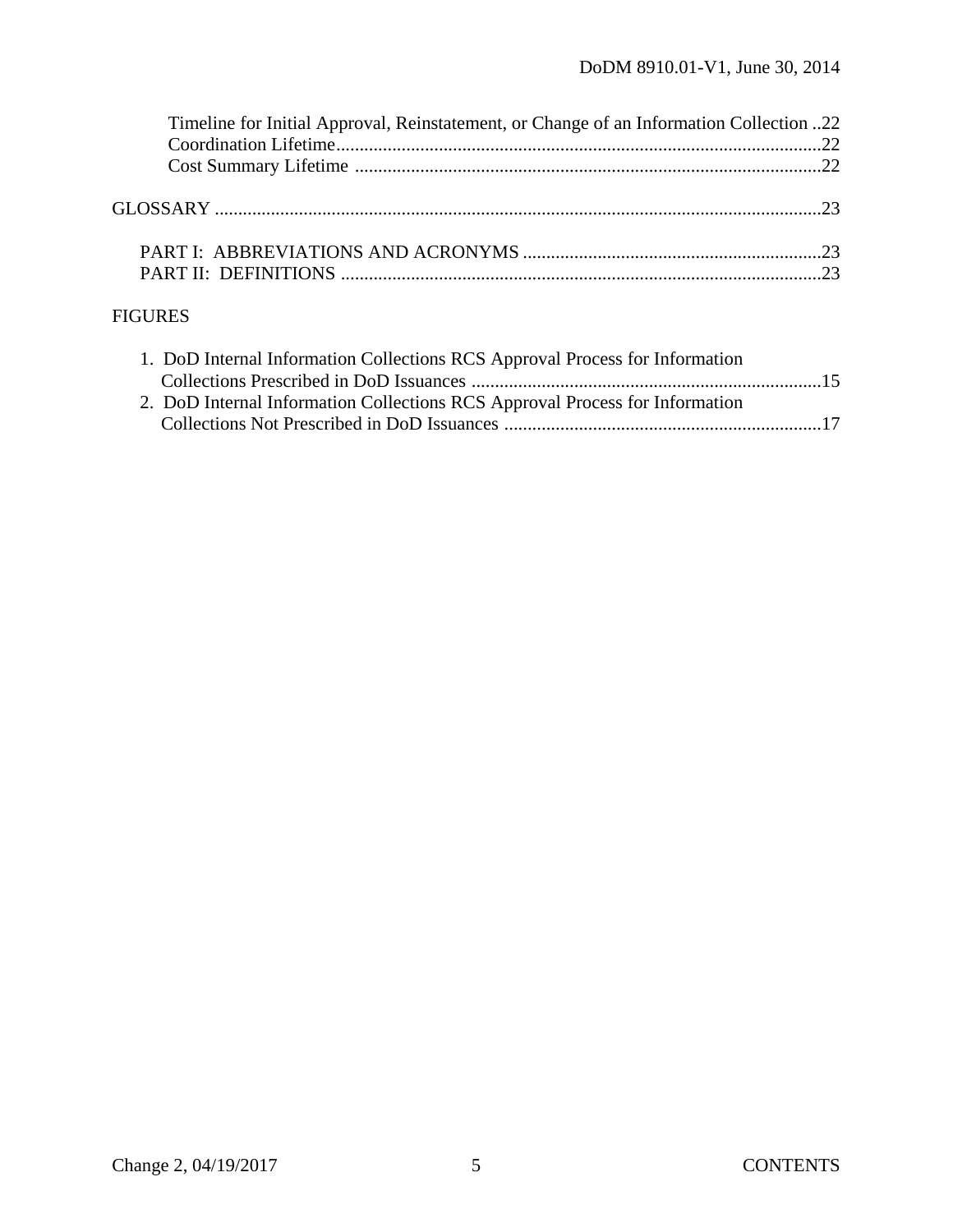| Timeline for Initial Approval, Reinstatement, or Change of an Information Collection 22 |  |
|-----------------------------------------------------------------------------------------|--|
|                                                                                         |  |
|                                                                                         |  |
|                                                                                         |  |
|                                                                                         |  |
|                                                                                         |  |
|                                                                                         |  |
|                                                                                         |  |
|                                                                                         |  |

# FIGURES

| 1. DoD Internal Information Collections RCS Approval Process for Information |  |
|------------------------------------------------------------------------------|--|
|                                                                              |  |
| 2. DoD Internal Information Collections RCS Approval Process for Information |  |
|                                                                              |  |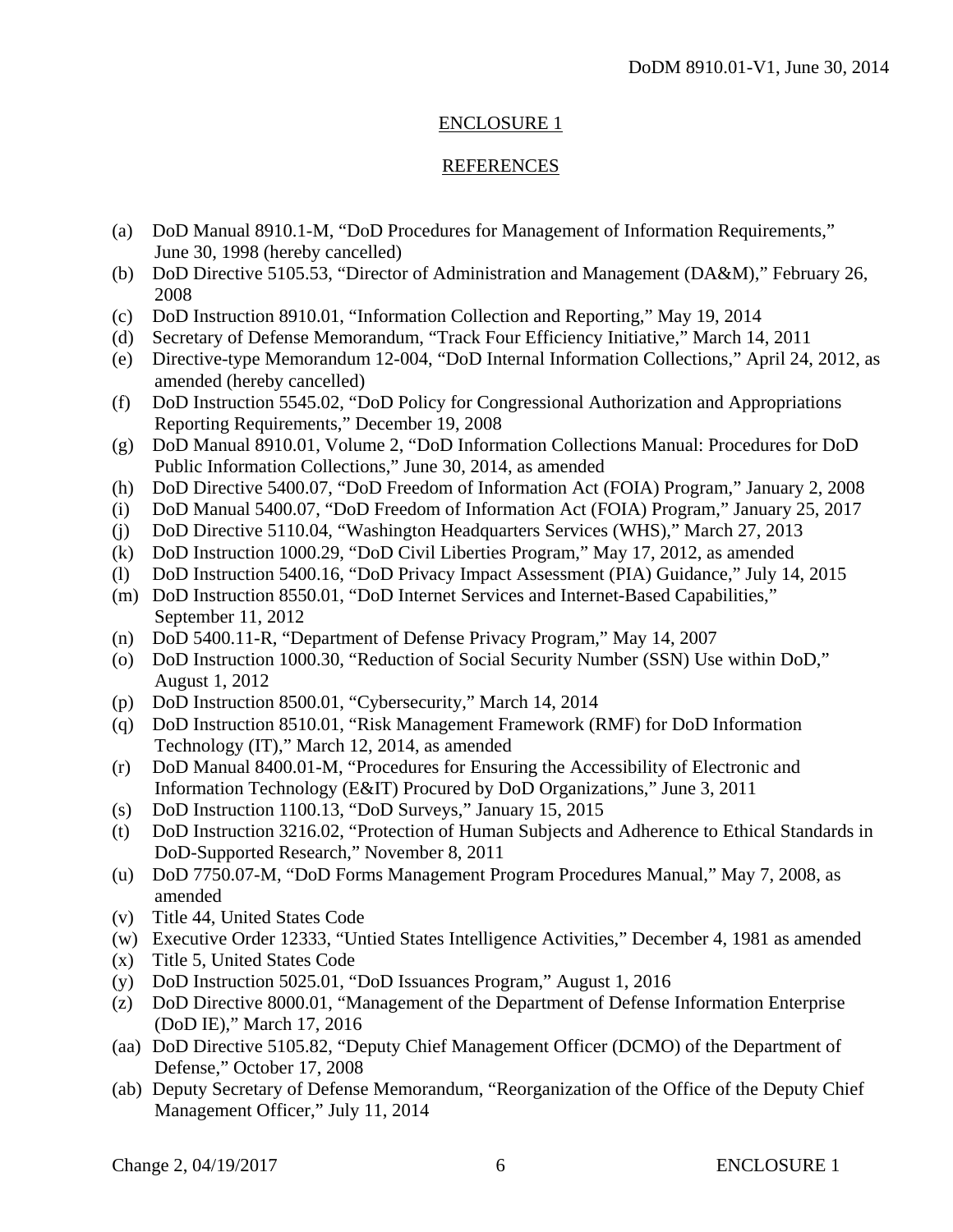#### ENCLOSURE 1

## REFERENCES

- (a) DoD Manual 8910.1-M, "DoD Procedures for Management of Information Requirements," June 30, 1998 (hereby cancelled)
- (b) DoD Directive 5105.53, "Director of Administration and Management (DA&M)," February 26, 2008
- (c) DoD Instruction 8910.01, "Information Collection and Reporting," May 19, 2014
- (d) Secretary of Defense Memorandum, "Track Four Efficiency Initiative," March 14, 2011
- (e) Directive-type Memorandum 12-004, "DoD Internal Information Collections," April 24, 2012, as amended (hereby cancelled)
- (f) DoD Instruction 5545.02, "DoD Policy for Congressional Authorization and Appropriations Reporting Requirements," December 19, 2008
- (g) DoD Manual 8910.01, Volume 2, "DoD Information Collections Manual: Procedures for DoD Public Information Collections," June 30, 2014, as amended
- (h) DoD Directive 5400.07, "DoD Freedom of Information Act (FOIA) Program," January 2, 2008
- (i) DoD Manual 5400.07, "DoD Freedom of Information Act (FOIA) Program," January 25, 2017
- (j) DoD Directive 5110.04, "Washington Headquarters Services (WHS)," March 27, 2013
- (k) DoD Instruction 1000.29, "DoD Civil Liberties Program," May 17, 2012, as amended
- (l) DoD Instruction 5400.16, "DoD Privacy Impact Assessment (PIA) Guidance," July 14, 2015
- (m) DoD Instruction 8550.01, "DoD Internet Services and Internet-Based Capabilities," September 11, 2012
- (n) DoD 5400.11-R, "Department of Defense Privacy Program," May 14, 2007
- (o) DoD Instruction 1000.30, "Reduction of Social Security Number (SSN) Use within DoD," August 1, 2012
- (p) DoD Instruction 8500.01, "Cybersecurity," March 14, 2014
- (q) DoD Instruction 8510.01, "Risk Management Framework (RMF) for DoD Information Technology (IT)," March 12, 2014, as amended
- (r) DoD Manual 8400.01-M, "Procedures for Ensuring the Accessibility of Electronic and Information Technology (E&IT) Procured by DoD Organizations," June 3, 2011
- (s) DoD Instruction 1100.13, "DoD Surveys," January 15, 2015
- (t) DoD Instruction 3216.02, "Protection of Human Subjects and Adherence to Ethical Standards in DoD-Supported Research," November 8, 2011
- (u) DoD 7750.07-M, "DoD Forms Management Program Procedures Manual," May 7, 2008, as amended
- (v) Title 44, United States Code
- (w) Executive Order 12333, "Untied States Intelligence Activities," December 4, 1981 as amended
- (x) Title 5, United States Code
- (y) DoD Instruction 5025.01, "DoD Issuances Program," August 1, 2016
- (z) DoD Directive 8000.01, "Management of the Department of Defense Information Enterprise (DoD IE)," March 17, 2016
- (aa) DoD Directive 5105.82, "Deputy Chief Management Officer (DCMO) of the Department of Defense," October 17, 2008
- (ab) Deputy Secretary of Defense Memorandum, "Reorganization of the Office of the Deputy Chief Management Officer," July 11, 2014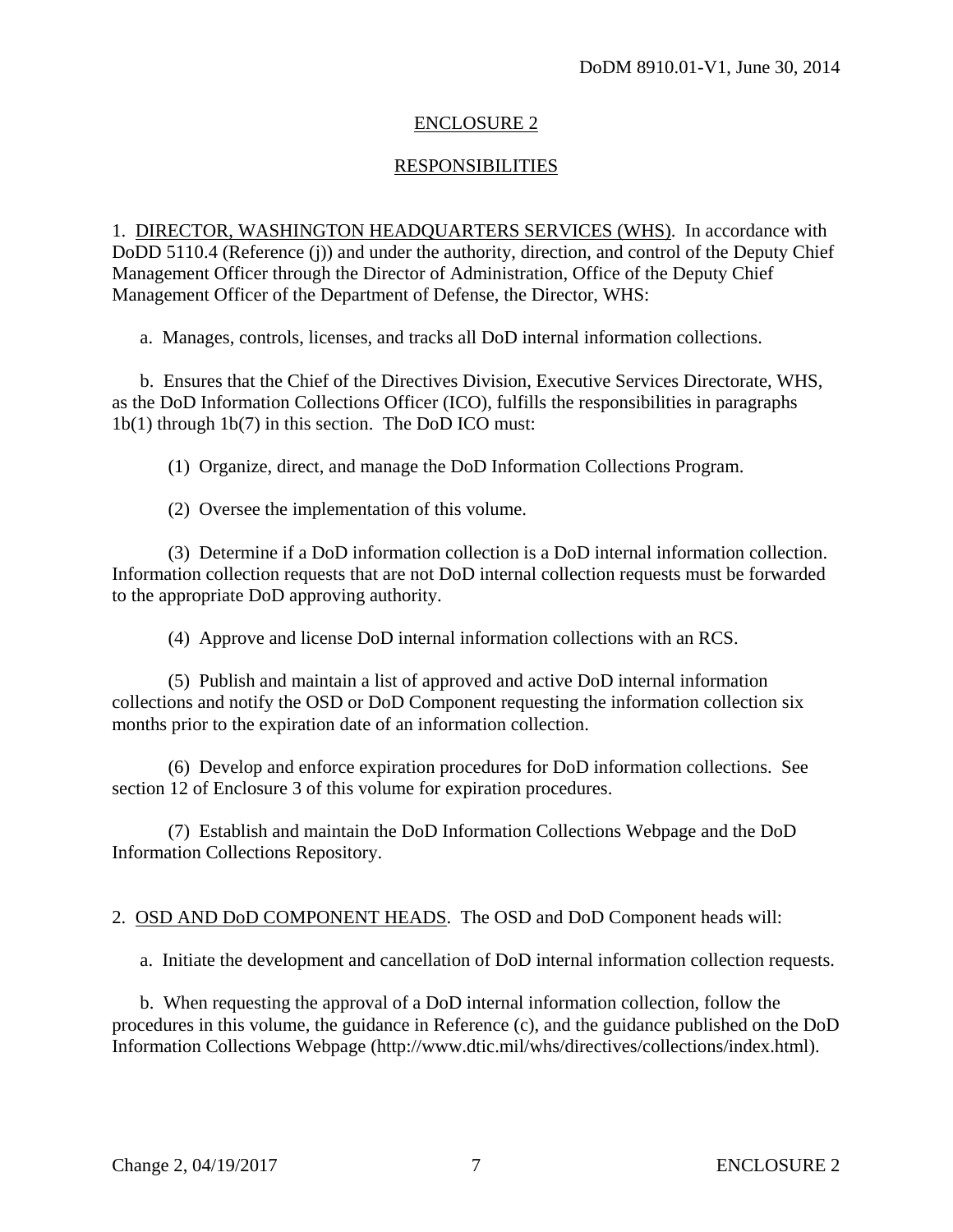## ENCLOSURE 2

## RESPONSIBILITIES

1. DIRECTOR, WASHINGTON HEADQUARTERS SERVICES (WHS). In accordance with DoDD 5110.4 (Reference (j)) and under the authority, direction, and control of the Deputy Chief Management Officer through the Director of Administration, Office of the Deputy Chief Management Officer of the Department of Defense, the Director, WHS:

a. Manages, controls, licenses, and tracks all DoD internal information collections.

 b. Ensures that the Chief of the Directives Division, Executive Services Directorate, WHS, as the DoD Information Collections Officer (ICO), fulfills the responsibilities in paragraphs 1b(1) through 1b(7) in this section. The DoD ICO must:

(1) Organize, direct, and manage the DoD Information Collections Program.

(2) Oversee the implementation of this volume.

 (3) Determine if a DoD information collection is a DoD internal information collection. Information collection requests that are not DoD internal collection requests must be forwarded to the appropriate DoD approving authority.

(4) Approve and license DoD internal information collections with an RCS.

 (5) Publish and maintain a list of approved and active DoD internal information collections and notify the OSD or DoD Component requesting the information collection six months prior to the expiration date of an information collection.

 (6) Develop and enforce expiration procedures for DoD information collections. See section 12 of Enclosure 3 of this volume for expiration procedures.

 (7) Establish and maintain the DoD Information Collections Webpage and the DoD Information Collections Repository.

2. OSD AND DoD COMPONENT HEADS. The OSD and DoD Component heads will:

a. Initiate the development and cancellation of DoD internal information collection requests.

 b. When requesting the approval of a DoD internal information collection, follow the procedures in this volume, the guidance in Reference (c), and the guidance published on the DoD Information Collections Webpage (http://www.dtic.mil/whs/directives/collections/index.html).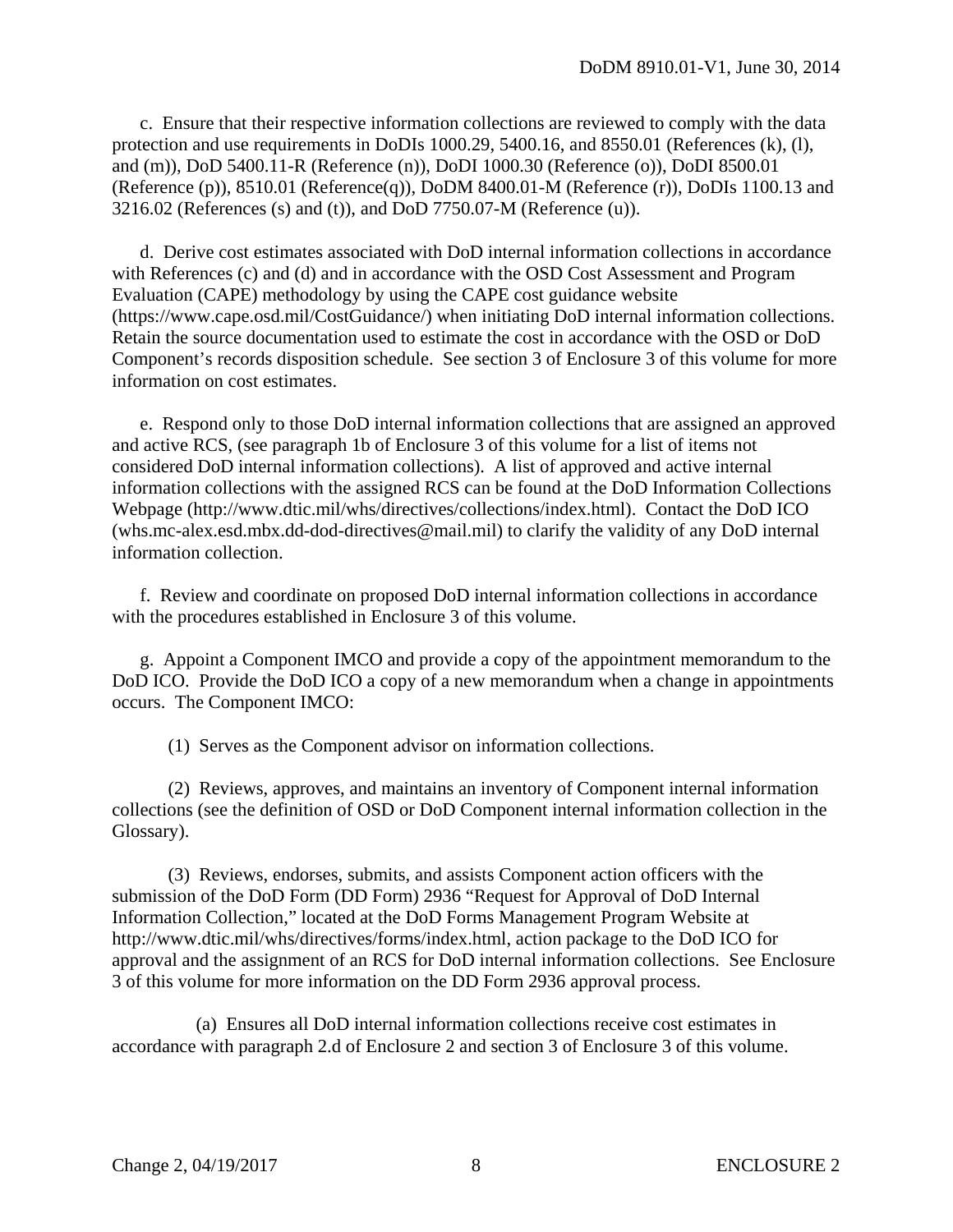c. Ensure that their respective information collections are reviewed to comply with the data protection and use requirements in DoDIs 1000.29, 5400.16, and 8550.01 (References (k), (l), and (m)), DoD 5400.11-R (Reference (n)), DoDI 1000.30 (Reference (o)), DoDI 8500.01 (Reference (p)), 8510.01 (Reference(q)), DoDM 8400.01-M (Reference (r)), DoDIs 1100.13 and 3216.02 (References (s) and (t)), and DoD 7750.07-M (Reference (u)).

 d. Derive cost estimates associated with DoD internal information collections in accordance with References (c) and (d) and in accordance with the OSD Cost Assessment and Program Evaluation (CAPE) methodology by using the CAPE cost guidance website (https://www.cape.osd.mil/CostGuidance/) when initiating DoD internal information collections. Retain the source documentation used to estimate the cost in accordance with the OSD or DoD Component's records disposition schedule. See section 3 of Enclosure 3 of this volume for more information on cost estimates.

 e. Respond only to those DoD internal information collections that are assigned an approved and active RCS, (see paragraph 1b of Enclosure 3 of this volume for a list of items not considered DoD internal information collections). A list of approved and active internal information collections with the assigned RCS can be found at the DoD Information Collections Webpage (http://www.dtic.mil/whs/directives/collections/index.html). Contact the DoD ICO (whs.mc-alex.esd.mbx.dd-dod-directives@mail.mil) to clarify the validity of any DoD internal information collection.

 f. Review and coordinate on proposed DoD internal information collections in accordance with the procedures established in Enclosure 3 of this volume.

 g. Appoint a Component IMCO and provide a copy of the appointment memorandum to the DoD ICO. Provide the DoD ICO a copy of a new memorandum when a change in appointments occurs. The Component IMCO:

(1) Serves as the Component advisor on information collections.

 (2) Reviews, approves, and maintains an inventory of Component internal information collections (see the definition of OSD or DoD Component internal information collection in the Glossary).

 (3) Reviews, endorses, submits, and assists Component action officers with the submission of the DoD Form (DD Form) 2936 "Request for Approval of DoD Internal Information Collection," located at the DoD Forms Management Program Website at http://www.dtic.mil/whs/directives/forms/index.html, action package to the DoD ICO for approval and the assignment of an RCS for DoD internal information collections. See Enclosure 3 of this volume for more information on the DD Form 2936 approval process.

 (a) Ensures all DoD internal information collections receive cost estimates in accordance with paragraph 2.d of Enclosure 2 and section 3 of Enclosure 3 of this volume.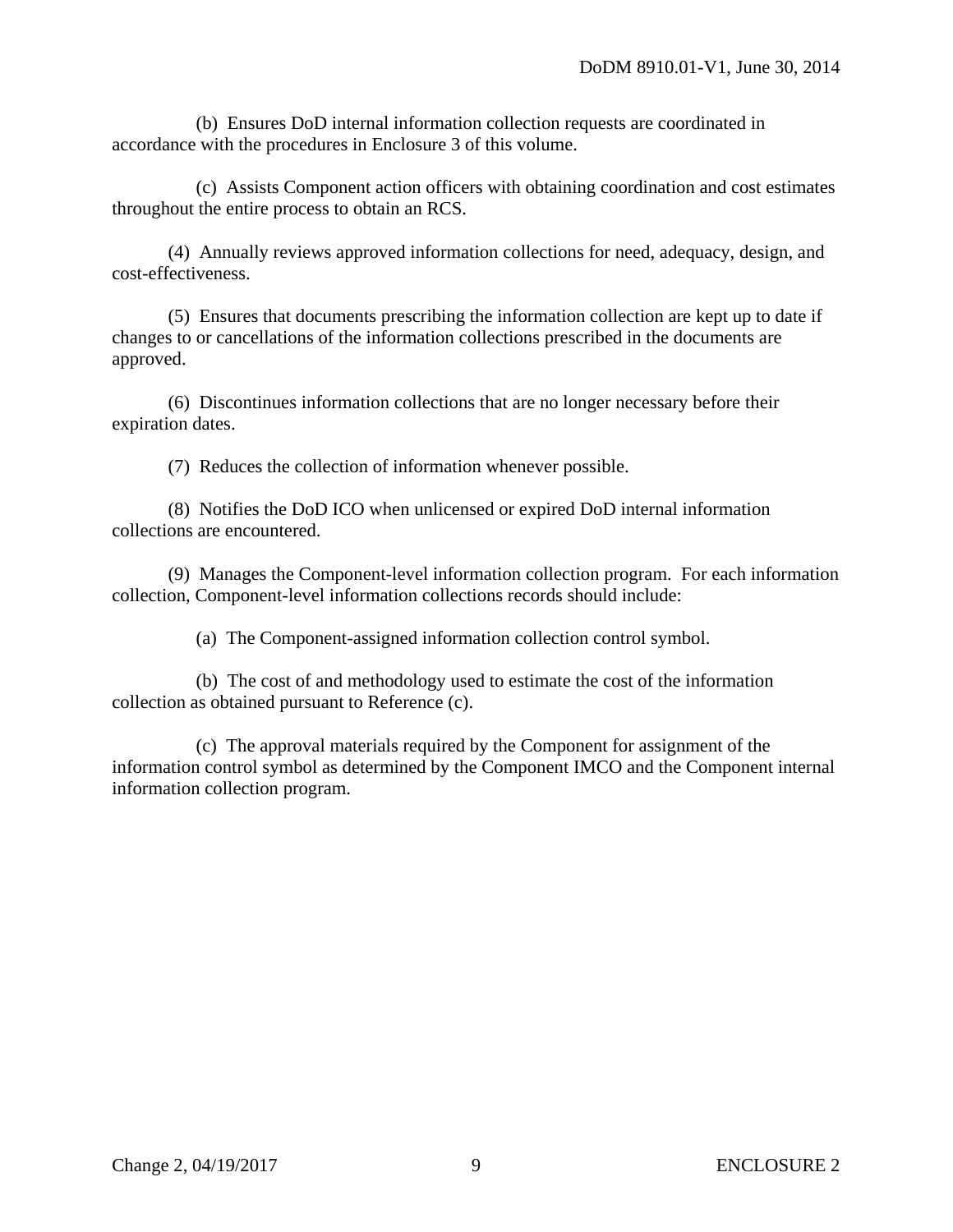(b) Ensures DoD internal information collection requests are coordinated in accordance with the procedures in Enclosure 3 of this volume.

 (c) Assists Component action officers with obtaining coordination and cost estimates throughout the entire process to obtain an RCS.

 (4) Annually reviews approved information collections for need, adequacy, design, and cost-effectiveness.

 (5) Ensures that documents prescribing the information collection are kept up to date if changes to or cancellations of the information collections prescribed in the documents are approved.

 (6) Discontinues information collections that are no longer necessary before their expiration dates.

(7) Reduces the collection of information whenever possible.

 (8) Notifies the DoD ICO when unlicensed or expired DoD internal information collections are encountered.

 (9) Manages the Component-level information collection program. For each information collection, Component-level information collections records should include:

(a) The Component-assigned information collection control symbol.

 (b) The cost of and methodology used to estimate the cost of the information collection as obtained pursuant to Reference (c).

 (c) The approval materials required by the Component for assignment of the information control symbol as determined by the Component IMCO and the Component internal information collection program.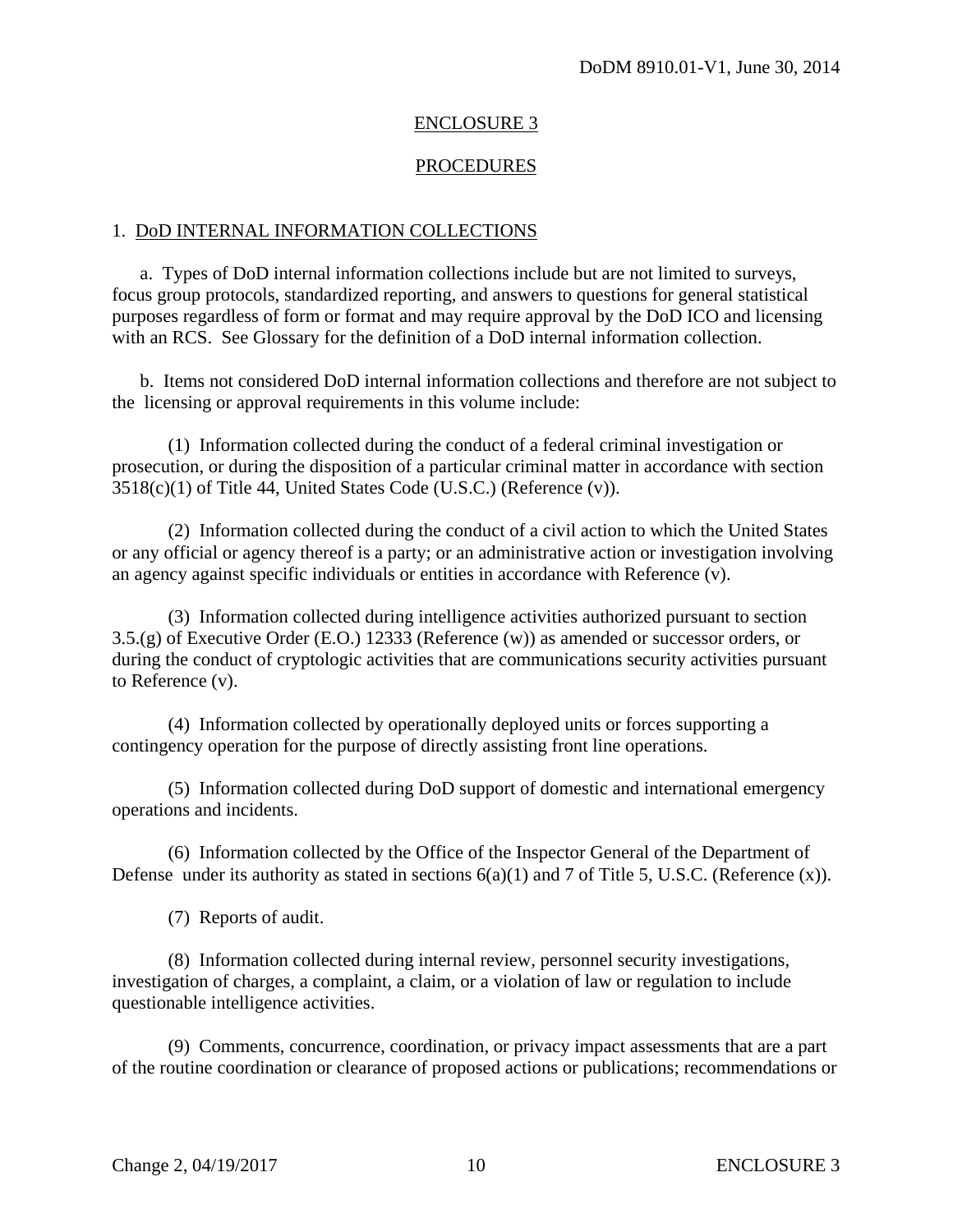#### ENCLOSURE 3

#### **PROCEDURES**

#### 1. DoD INTERNAL INFORMATION COLLECTIONS

 a. Types of DoD internal information collections include but are not limited to surveys, focus group protocols, standardized reporting, and answers to questions for general statistical purposes regardless of form or format and may require approval by the DoD ICO and licensing with an RCS. See Glossary for the definition of a DoD internal information collection.

 b. Items not considered DoD internal information collections and therefore are not subject to the licensing or approval requirements in this volume include:

 (1) Information collected during the conduct of a federal criminal investigation or prosecution, or during the disposition of a particular criminal matter in accordance with section 3518(c)(1) of Title 44, United States Code (U.S.C.) (Reference (v)).

 (2) Information collected during the conduct of a civil action to which the United States or any official or agency thereof is a party; or an administrative action or investigation involving an agency against specific individuals or entities in accordance with Reference (v).

 (3) Information collected during intelligence activities authorized pursuant to section 3.5.(g) of Executive Order (E.O.) 12333 (Reference (w)) as amended or successor orders, or during the conduct of cryptologic activities that are communications security activities pursuant to Reference (v).

 (4) Information collected by operationally deployed units or forces supporting a contingency operation for the purpose of directly assisting front line operations.

 (5) Information collected during DoD support of domestic and international emergency operations and incidents.

 (6) Information collected by the Office of the Inspector General of the Department of Defense under its authority as stated in sections  $6(a)(1)$  and 7 of Title 5, U.S.C. (Reference (x)).

(7) Reports of audit.

 (8) Information collected during internal review, personnel security investigations, investigation of charges, a complaint, a claim, or a violation of law or regulation to include questionable intelligence activities.

 (9) Comments, concurrence, coordination, or privacy impact assessments that are a part of the routine coordination or clearance of proposed actions or publications; recommendations or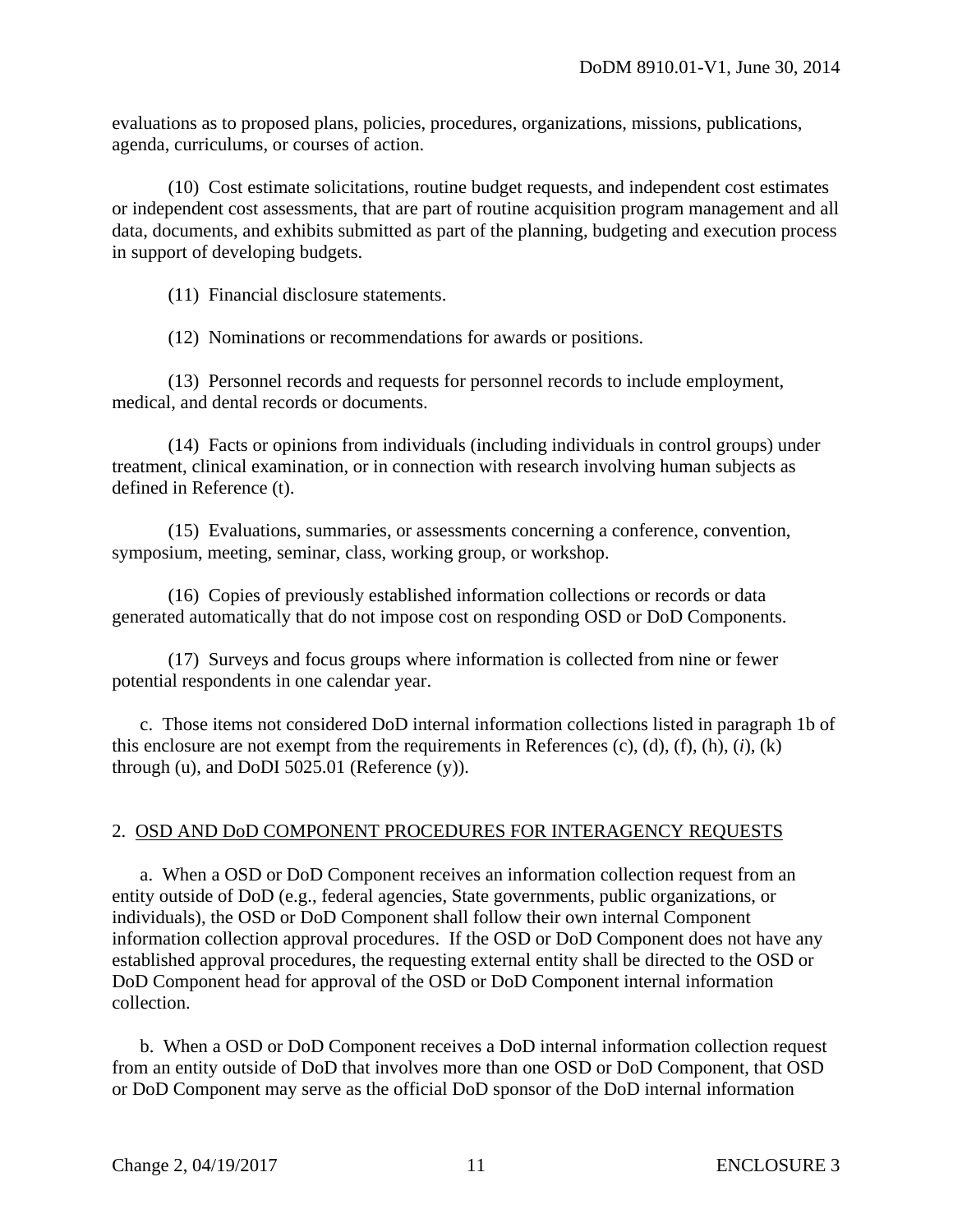evaluations as to proposed plans, policies, procedures, organizations, missions, publications, agenda, curriculums, or courses of action.

 (10) Cost estimate solicitations, routine budget requests, and independent cost estimates or independent cost assessments, that are part of routine acquisition program management and all data, documents, and exhibits submitted as part of the planning, budgeting and execution process in support of developing budgets.

(11) Financial disclosure statements.

(12) Nominations or recommendations for awards or positions.

 (13) Personnel records and requests for personnel records to include employment, medical, and dental records or documents.

 (14) Facts or opinions from individuals (including individuals in control groups) under treatment, clinical examination, or in connection with research involving human subjects as defined in Reference (t).

 (15) Evaluations, summaries, or assessments concerning a conference, convention, symposium, meeting, seminar, class, working group, or workshop.

 (16) Copies of previously established information collections or records or data generated automatically that do not impose cost on responding OSD or DoD Components.

 (17) Surveys and focus groups where information is collected from nine or fewer potential respondents in one calendar year.

 c. Those items not considered DoD internal information collections listed in paragraph 1b of this enclosure are not exempt from the requirements in References (c), (d), (f), (h), (*i*), (k) through (u), and DoDI 5025.01 (Reference (y)).

#### 2. OSD AND DoD COMPONENT PROCEDURES FOR INTERAGENCY REQUESTS

 a. When a OSD or DoD Component receives an information collection request from an entity outside of DoD (e.g., federal agencies, State governments, public organizations, or individuals), the OSD or DoD Component shall follow their own internal Component information collection approval procedures. If the OSD or DoD Component does not have any established approval procedures, the requesting external entity shall be directed to the OSD or DoD Component head for approval of the OSD or DoD Component internal information collection.

 b. When a OSD or DoD Component receives a DoD internal information collection request from an entity outside of DoD that involves more than one OSD or DoD Component, that OSD or DoD Component may serve as the official DoD sponsor of the DoD internal information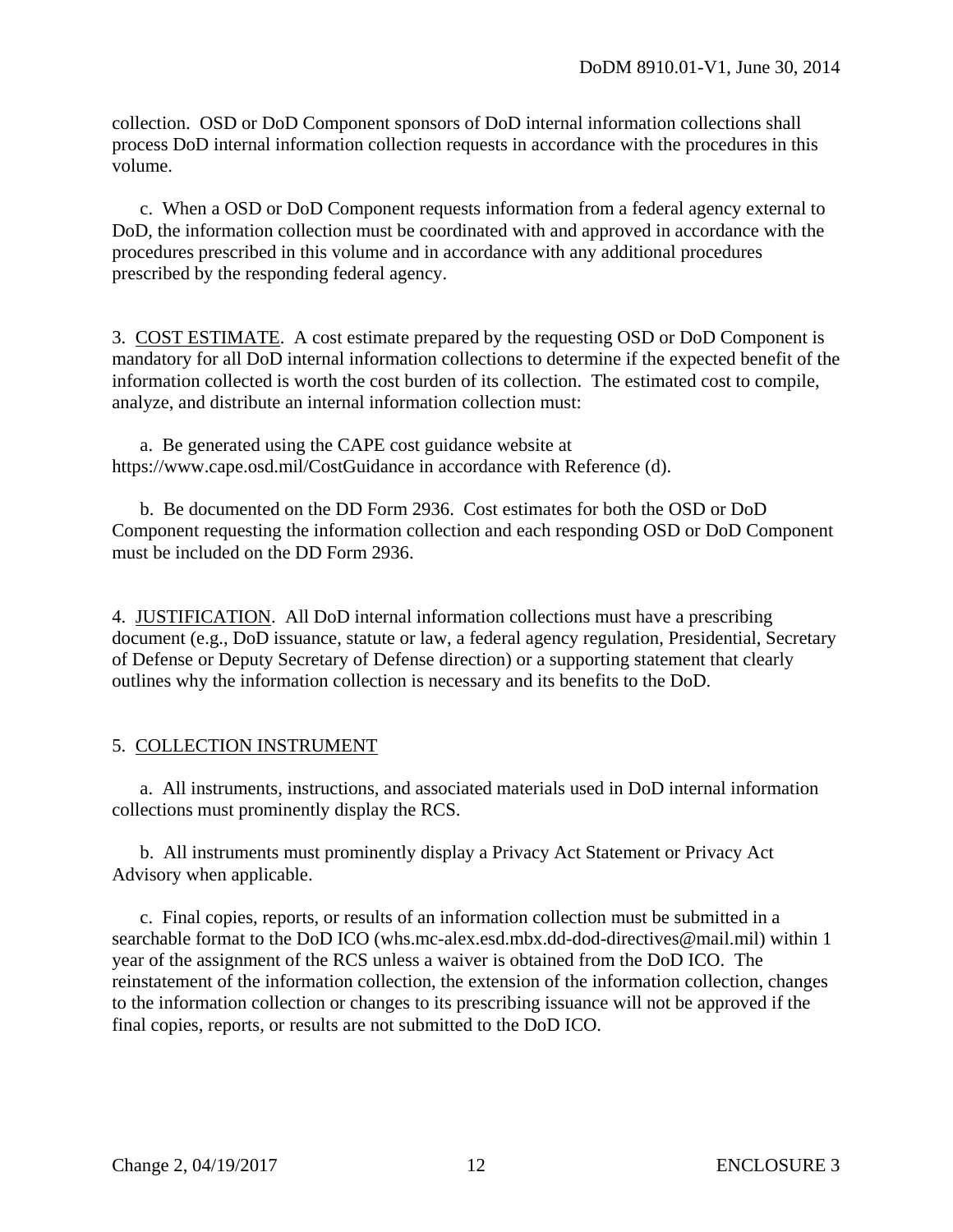collection. OSD or DoD Component sponsors of DoD internal information collections shall process DoD internal information collection requests in accordance with the procedures in this volume.

 c. When a OSD or DoD Component requests information from a federal agency external to DoD, the information collection must be coordinated with and approved in accordance with the procedures prescribed in this volume and in accordance with any additional procedures prescribed by the responding federal agency.

3. COST ESTIMATE. A cost estimate prepared by the requesting OSD or DoD Component is mandatory for all DoD internal information collections to determine if the expected benefit of the information collected is worth the cost burden of its collection. The estimated cost to compile, analyze, and distribute an internal information collection must:

 a. Be generated using the CAPE cost guidance website at https://www.cape.osd.mil/CostGuidance in accordance with Reference (d).

 b. Be documented on the DD Form 2936. Cost estimates for both the OSD or DoD Component requesting the information collection and each responding OSD or DoD Component must be included on the DD Form 2936.

4. JUSTIFICATION. All DoD internal information collections must have a prescribing document (e.g., DoD issuance, statute or law, a federal agency regulation, Presidential, Secretary of Defense or Deputy Secretary of Defense direction) or a supporting statement that clearly outlines why the information collection is necessary and its benefits to the DoD.

# 5. COLLECTION INSTRUMENT

 a. All instruments, instructions, and associated materials used in DoD internal information collections must prominently display the RCS.

 b. All instruments must prominently display a Privacy Act Statement or Privacy Act Advisory when applicable.

 c. Final copies, reports, or results of an information collection must be submitted in a searchable format to the DoD ICO (whs.mc-alex.esd.mbx.dd-dod-directives@mail.mil) within 1 year of the assignment of the RCS unless a waiver is obtained from the DoD ICO. The reinstatement of the information collection, the extension of the information collection, changes to the information collection or changes to its prescribing issuance will not be approved if the final copies, reports, or results are not submitted to the DoD ICO.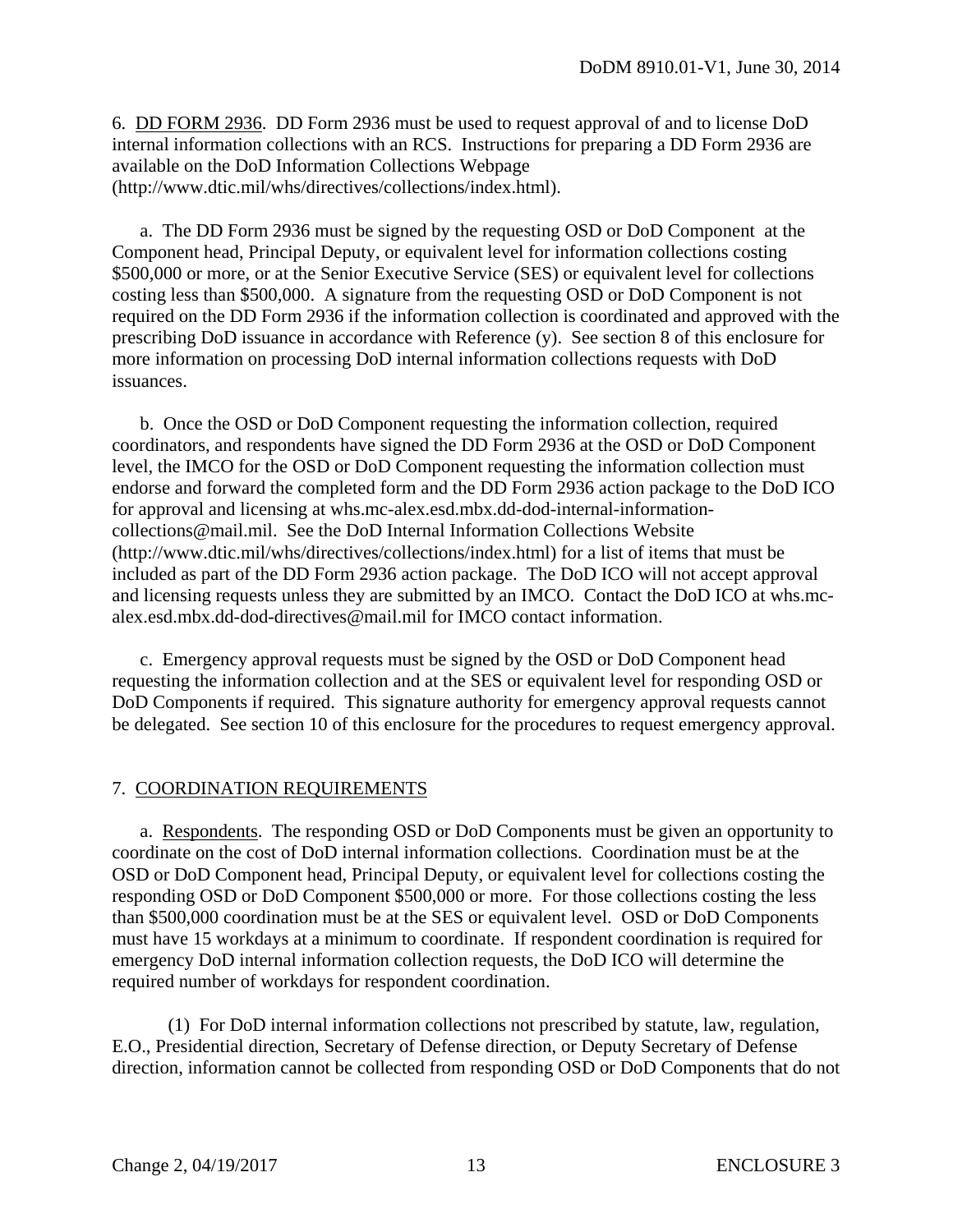6. DD FORM 2936. DD Form 2936 must be used to request approval of and to license DoD internal information collections with an RCS. Instructions for preparing a DD Form 2936 are available on the DoD Information Collections Webpage (http://www.dtic.mil/whs/directives/collections/index.html).

 a. The DD Form 2936 must be signed by the requesting OSD or DoD Component at the Component head, Principal Deputy, or equivalent level for information collections costing \$500,000 or more, or at the Senior Executive Service (SES) or equivalent level for collections costing less than \$500,000. A signature from the requesting OSD or DoD Component is not required on the DD Form 2936 if the information collection is coordinated and approved with the prescribing DoD issuance in accordance with Reference (y). See section 8 of this enclosure for more information on processing DoD internal information collections requests with DoD issuances.

 b. Once the OSD or DoD Component requesting the information collection, required coordinators, and respondents have signed the DD Form 2936 at the OSD or DoD Component level, the IMCO for the OSD or DoD Component requesting the information collection must endorse and forward the completed form and the DD Form 2936 action package to the DoD ICO for approval and licensing at whs.mc-alex.esd.mbx.dd-dod-internal-informationcollections@mail.mil. See the DoD Internal Information Collections Website (http://www.dtic.mil/whs/directives/collections/index.html) for a list of items that must be included as part of the DD Form 2936 action package. The DoD ICO will not accept approval and licensing requests unless they are submitted by an IMCO. Contact the DoD ICO at whs.mcalex.esd.mbx.dd-dod-directives@mail.mil for IMCO contact information.

 c. Emergency approval requests must be signed by the OSD or DoD Component head requesting the information collection and at the SES or equivalent level for responding OSD or DoD Components if required. This signature authority for emergency approval requests cannot be delegated. See section 10 of this enclosure for the procedures to request emergency approval.

#### 7. COORDINATION REQUIREMENTS

 a. Respondents. The responding OSD or DoD Components must be given an opportunity to coordinate on the cost of DoD internal information collections. Coordination must be at the OSD or DoD Component head, Principal Deputy, or equivalent level for collections costing the responding OSD or DoD Component \$500,000 or more. For those collections costing the less than \$500,000 coordination must be at the SES or equivalent level. OSD or DoD Components must have 15 workdays at a minimum to coordinate. If respondent coordination is required for emergency DoD internal information collection requests, the DoD ICO will determine the required number of workdays for respondent coordination.

 (1) For DoD internal information collections not prescribed by statute, law, regulation, E.O., Presidential direction, Secretary of Defense direction, or Deputy Secretary of Defense direction, information cannot be collected from responding OSD or DoD Components that do not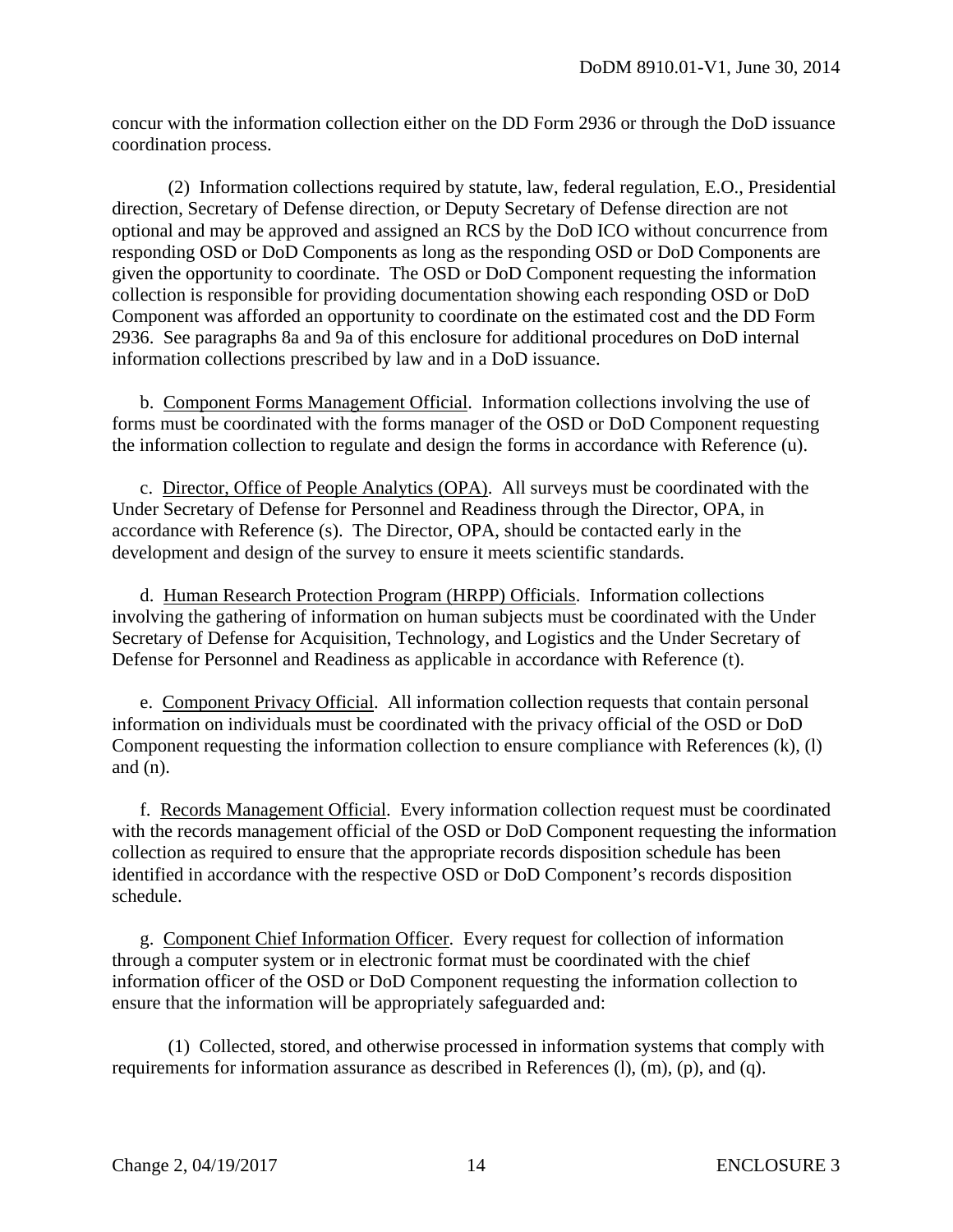concur with the information collection either on the DD Form 2936 or through the DoD issuance coordination process.

 (2) Information collections required by statute, law, federal regulation, E.O., Presidential direction, Secretary of Defense direction, or Deputy Secretary of Defense direction are not optional and may be approved and assigned an RCS by the DoD ICO without concurrence from responding OSD or DoD Components as long as the responding OSD or DoD Components are given the opportunity to coordinate. The OSD or DoD Component requesting the information collection is responsible for providing documentation showing each responding OSD or DoD Component was afforded an opportunity to coordinate on the estimated cost and the DD Form 2936. See paragraphs 8a and 9a of this enclosure for additional procedures on DoD internal information collections prescribed by law and in a DoD issuance.

 b. Component Forms Management Official. Information collections involving the use of forms must be coordinated with the forms manager of the OSD or DoD Component requesting the information collection to regulate and design the forms in accordance with Reference (u).

 c. Director, Office of People Analytics (OPA). All surveys must be coordinated with the Under Secretary of Defense for Personnel and Readiness through the Director, OPA, in accordance with Reference (s). The Director, OPA, should be contacted early in the development and design of the survey to ensure it meets scientific standards.

 d. Human Research Protection Program (HRPP) Officials. Information collections involving the gathering of information on human subjects must be coordinated with the Under Secretary of Defense for Acquisition, Technology, and Logistics and the Under Secretary of Defense for Personnel and Readiness as applicable in accordance with Reference (t).

 e. Component Privacy Official. All information collection requests that contain personal information on individuals must be coordinated with the privacy official of the OSD or DoD Component requesting the information collection to ensure compliance with References (k), (l) and  $(n)$ .

 f. Records Management Official. Every information collection request must be coordinated with the records management official of the OSD or DoD Component requesting the information collection as required to ensure that the appropriate records disposition schedule has been identified in accordance with the respective OSD or DoD Component's records disposition schedule.

 g. Component Chief Information Officer. Every request for collection of information through a computer system or in electronic format must be coordinated with the chief information officer of the OSD or DoD Component requesting the information collection to ensure that the information will be appropriately safeguarded and:

 (1) Collected, stored, and otherwise processed in information systems that comply with requirements for information assurance as described in References (l), (m), (p), and (q).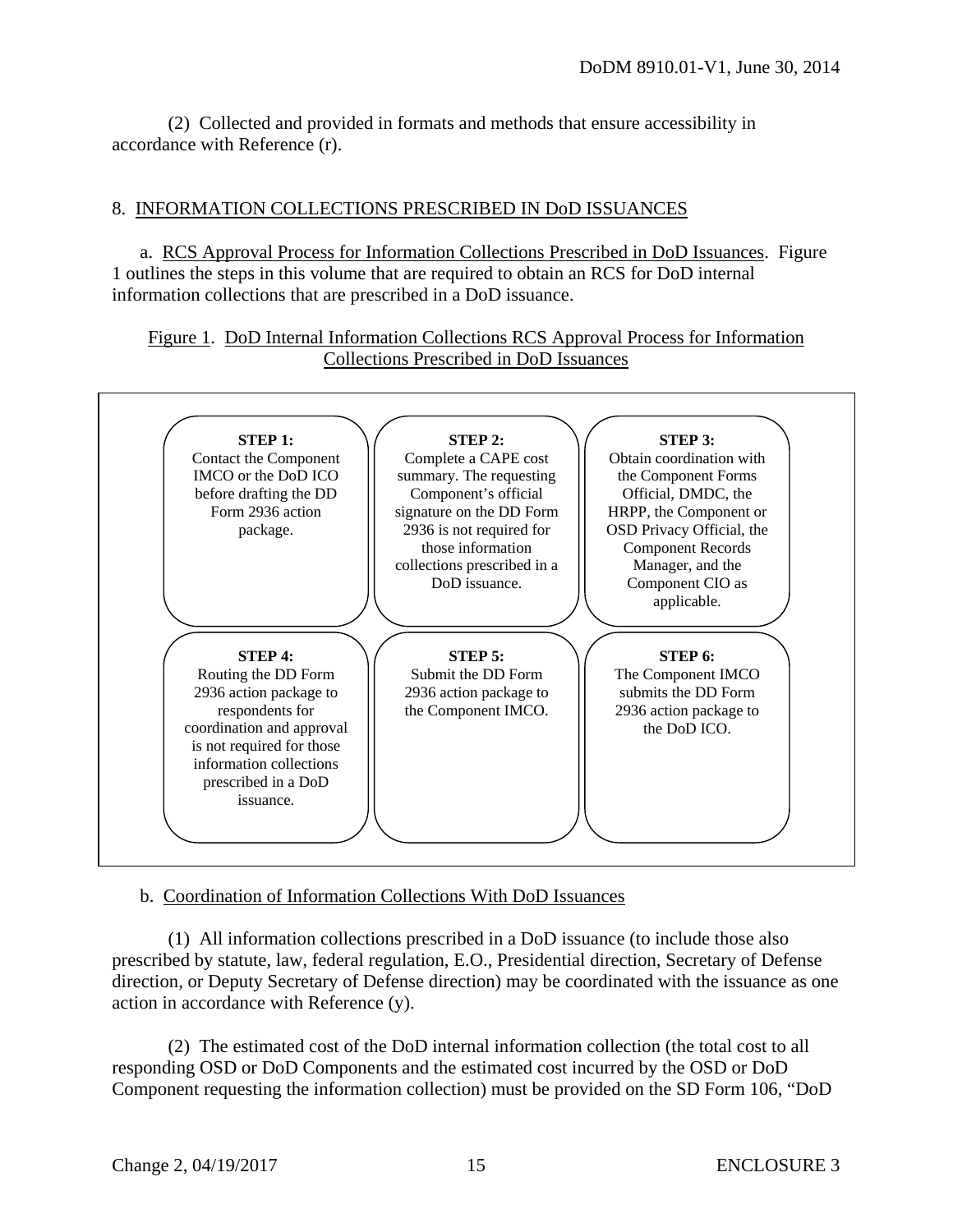(2) Collected and provided in formats and methods that ensure accessibility in accordance with Reference (r).

#### 8. INFORMATION COLLECTIONS PRESCRIBED IN DoD ISSUANCES

 a. RCS Approval Process for Information Collections Prescribed in DoD Issuances. Figure 1 outlines the steps in this volume that are required to obtain an RCS for DoD internal information collections that are prescribed in a DoD issuance.

Figure 1. DoD Internal Information Collections RCS Approval Process for Information Collections Prescribed in DoD Issuances



b. Coordination of Information Collections With DoD Issuances

 (1) All information collections prescribed in a DoD issuance (to include those also prescribed by statute, law, federal regulation, E.O., Presidential direction, Secretary of Defense direction, or Deputy Secretary of Defense direction) may be coordinated with the issuance as one action in accordance with Reference (y).

 (2) The estimated cost of the DoD internal information collection (the total cost to all responding OSD or DoD Components and the estimated cost incurred by the OSD or DoD Component requesting the information collection) must be provided on the SD Form 106, "DoD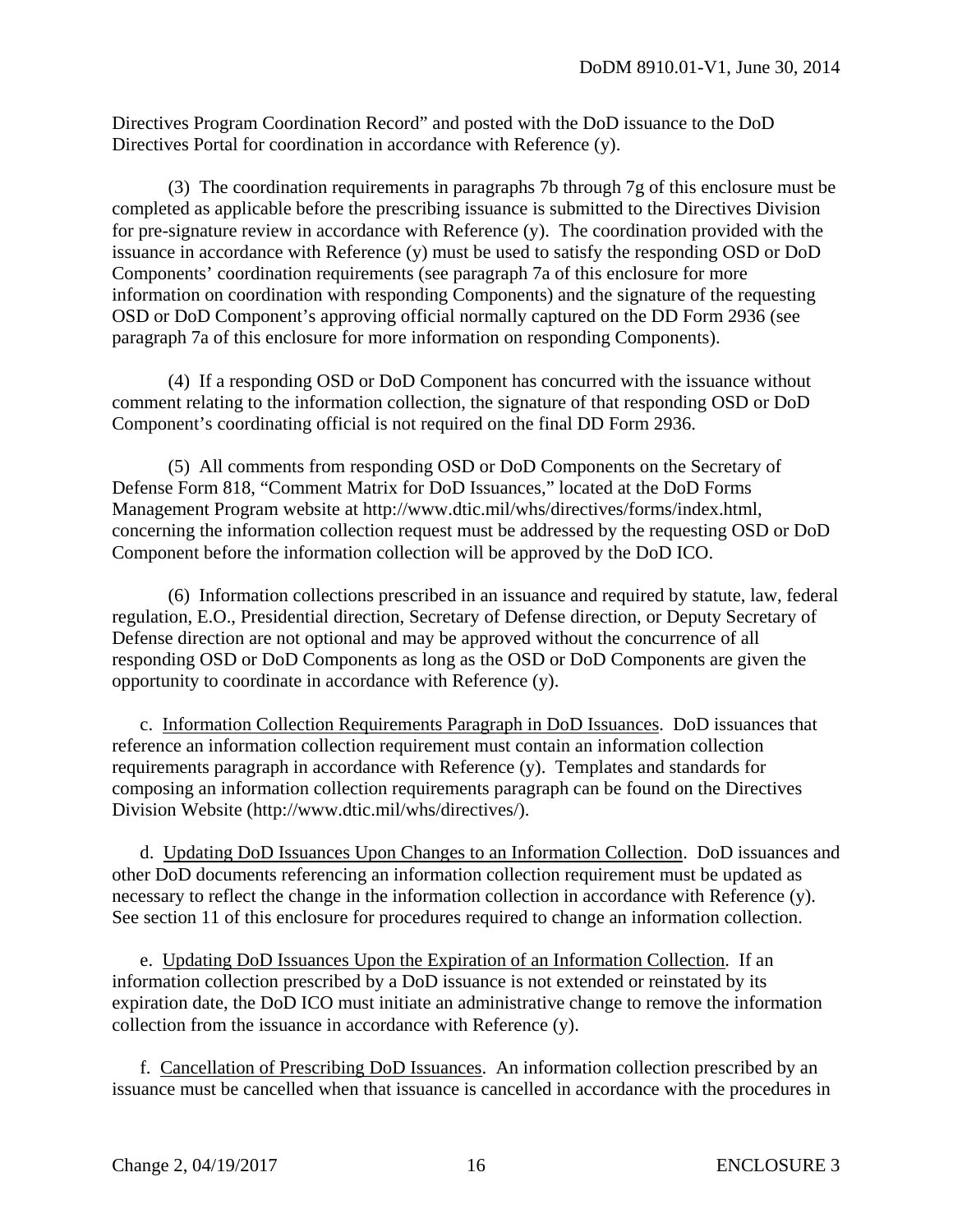Directives Program Coordination Record" and posted with the DoD issuance to the DoD Directives Portal for coordination in accordance with Reference (y).

 (3) The coordination requirements in paragraphs 7b through 7g of this enclosure must be completed as applicable before the prescribing issuance is submitted to the Directives Division for pre-signature review in accordance with Reference (y). The coordination provided with the issuance in accordance with Reference (y) must be used to satisfy the responding OSD or DoD Components' coordination requirements (see paragraph 7a of this enclosure for more information on coordination with responding Components) and the signature of the requesting OSD or DoD Component's approving official normally captured on the DD Form 2936 (see paragraph 7a of this enclosure for more information on responding Components).

 (4) If a responding OSD or DoD Component has concurred with the issuance without comment relating to the information collection, the signature of that responding OSD or DoD Component's coordinating official is not required on the final DD Form 2936.

 (5) All comments from responding OSD or DoD Components on the Secretary of Defense Form 818, "Comment Matrix for DoD Issuances," located at the DoD Forms Management Program website at http://www.dtic.mil/whs/directives/forms/index.html, concerning the information collection request must be addressed by the requesting OSD or DoD Component before the information collection will be approved by the DoD ICO.

 (6) Information collections prescribed in an issuance and required by statute, law, federal regulation, E.O., Presidential direction, Secretary of Defense direction, or Deputy Secretary of Defense direction are not optional and may be approved without the concurrence of all responding OSD or DoD Components as long as the OSD or DoD Components are given the opportunity to coordinate in accordance with Reference (y).

 c. Information Collection Requirements Paragraph in DoD Issuances. DoD issuances that reference an information collection requirement must contain an information collection requirements paragraph in accordance with Reference (y). Templates and standards for composing an information collection requirements paragraph can be found on the Directives Division Website (http://www.dtic.mil/whs/directives/).

 d. Updating DoD Issuances Upon Changes to an Information Collection. DoD issuances and other DoD documents referencing an information collection requirement must be updated as necessary to reflect the change in the information collection in accordance with Reference (y). See section 11 of this enclosure for procedures required to change an information collection.

 e. Updating DoD Issuances Upon the Expiration of an Information Collection. If an information collection prescribed by a DoD issuance is not extended or reinstated by its expiration date, the DoD ICO must initiate an administrative change to remove the information collection from the issuance in accordance with Reference (y).

 f. Cancellation of Prescribing DoD Issuances. An information collection prescribed by an issuance must be cancelled when that issuance is cancelled in accordance with the procedures in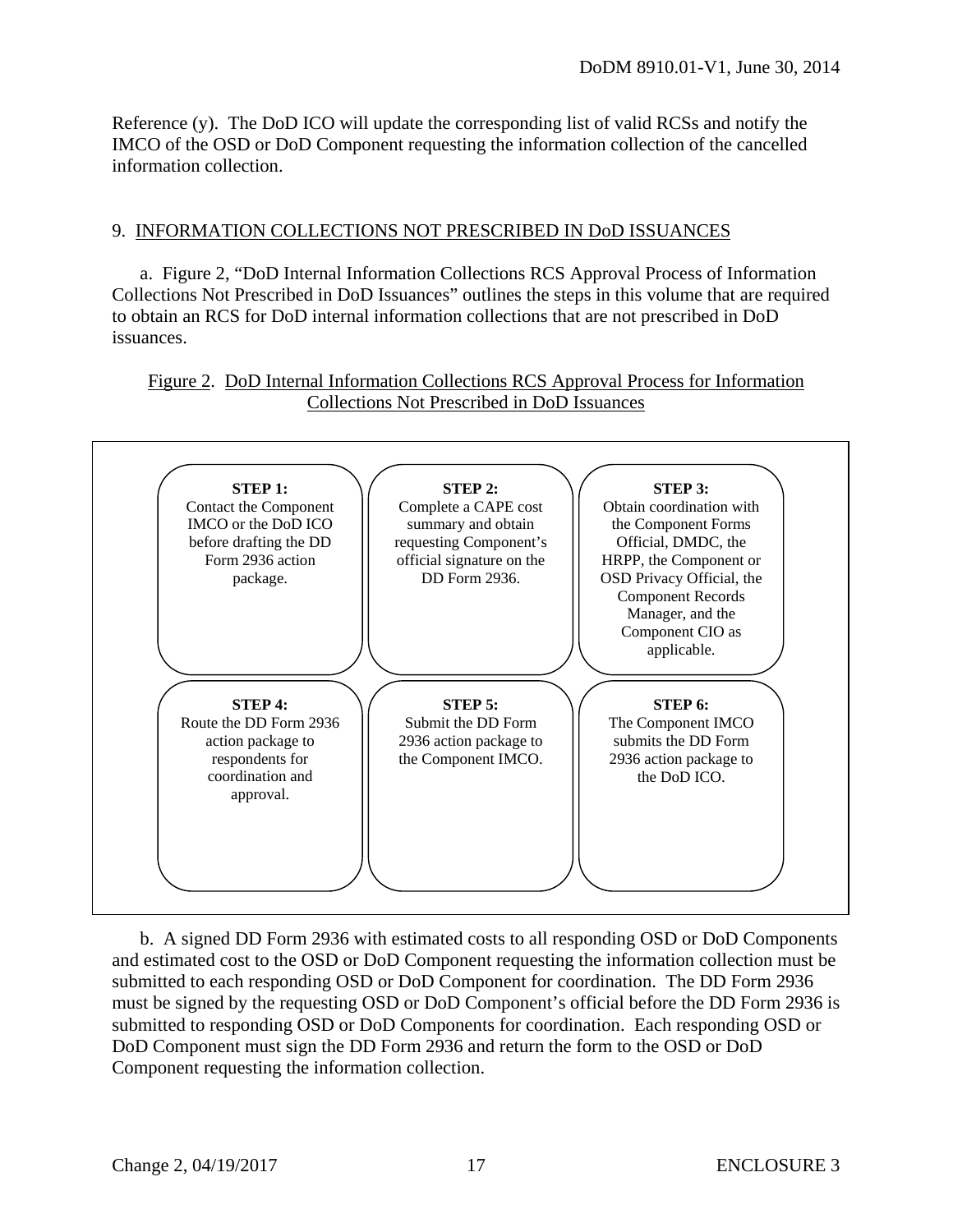Reference (y). The DoD ICO will update the corresponding list of valid RCSs and notify the IMCO of the OSD or DoD Component requesting the information collection of the cancelled information collection.

#### 9. INFORMATION COLLECTIONS NOT PRESCRIBED IN DoD ISSUANCES

 a. Figure 2, "DoD Internal Information Collections RCS Approval Process of Information Collections Not Prescribed in DoD Issuances" outlines the steps in this volume that are required to obtain an RCS for DoD internal information collections that are not prescribed in DoD issuances.

#### Figure 2. DoD Internal Information Collections RCS Approval Process for Information Collections Not Prescribed in DoD Issuances



 b. A signed DD Form 2936 with estimated costs to all responding OSD or DoD Components and estimated cost to the OSD or DoD Component requesting the information collection must be submitted to each responding OSD or DoD Component for coordination. The DD Form 2936 must be signed by the requesting OSD or DoD Component's official before the DD Form 2936 is submitted to responding OSD or DoD Components for coordination. Each responding OSD or DoD Component must sign the DD Form 2936 and return the form to the OSD or DoD Component requesting the information collection.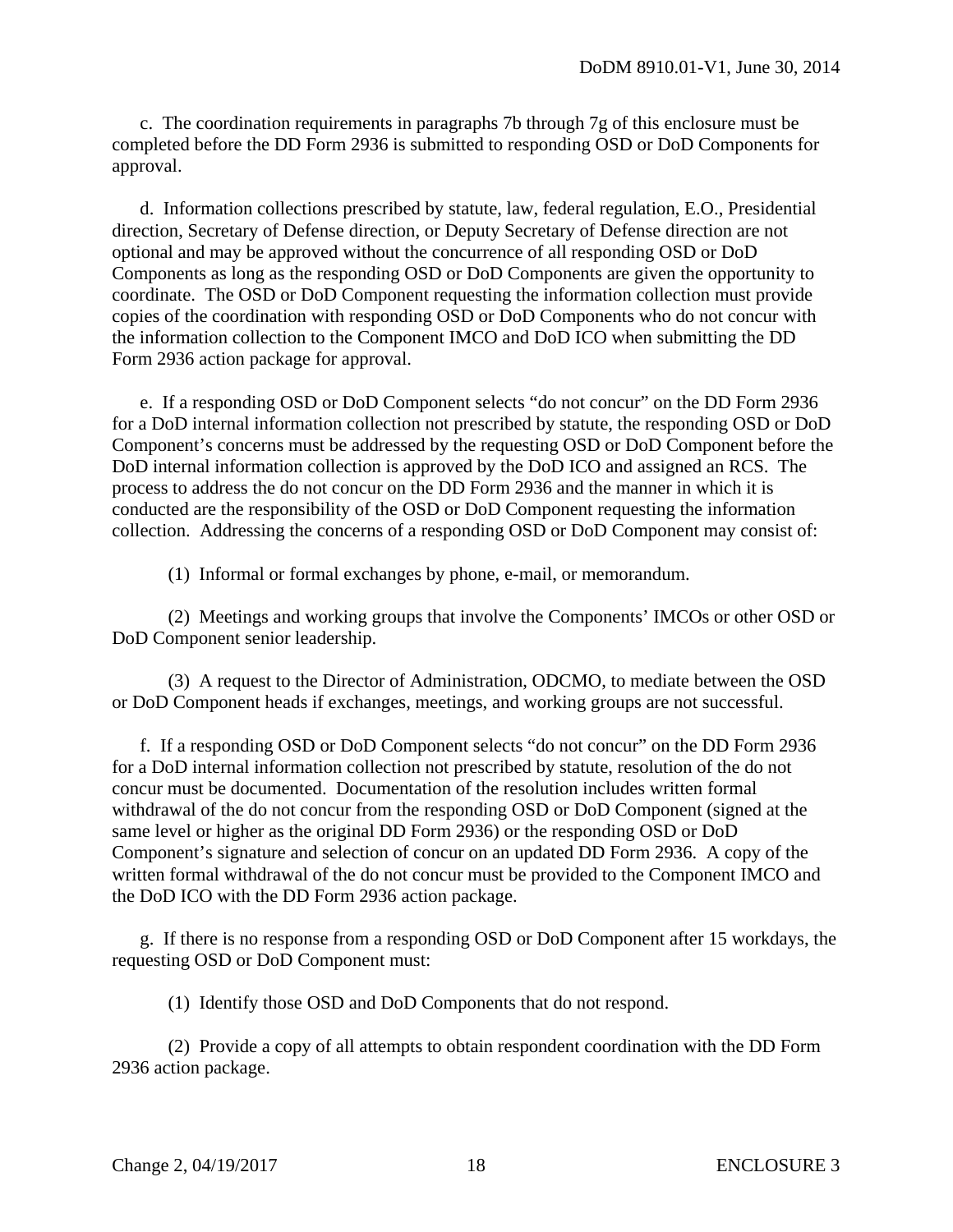c. The coordination requirements in paragraphs 7b through 7g of this enclosure must be completed before the DD Form 2936 is submitted to responding OSD or DoD Components for approval.

 d. Information collections prescribed by statute, law, federal regulation, E.O., Presidential direction, Secretary of Defense direction, or Deputy Secretary of Defense direction are not optional and may be approved without the concurrence of all responding OSD or DoD Components as long as the responding OSD or DoD Components are given the opportunity to coordinate. The OSD or DoD Component requesting the information collection must provide copies of the coordination with responding OSD or DoD Components who do not concur with the information collection to the Component IMCO and DoD ICO when submitting the DD Form 2936 action package for approval.

 e. If a responding OSD or DoD Component selects "do not concur" on the DD Form 2936 for a DoD internal information collection not prescribed by statute, the responding OSD or DoD Component's concerns must be addressed by the requesting OSD or DoD Component before the DoD internal information collection is approved by the DoD ICO and assigned an RCS. The process to address the do not concur on the DD Form 2936 and the manner in which it is conducted are the responsibility of the OSD or DoD Component requesting the information collection. Addressing the concerns of a responding OSD or DoD Component may consist of:

(1) Informal or formal exchanges by phone, e-mail, or memorandum.

 (2) Meetings and working groups that involve the Components' IMCOs or other OSD or DoD Component senior leadership.

 (3) A request to the Director of Administration, ODCMO, to mediate between the OSD or DoD Component heads if exchanges, meetings, and working groups are not successful.

 f. If a responding OSD or DoD Component selects "do not concur" on the DD Form 2936 for a DoD internal information collection not prescribed by statute, resolution of the do not concur must be documented. Documentation of the resolution includes written formal withdrawal of the do not concur from the responding OSD or DoD Component (signed at the same level or higher as the original DD Form 2936) or the responding OSD or DoD Component's signature and selection of concur on an updated DD Form 2936. A copy of the written formal withdrawal of the do not concur must be provided to the Component IMCO and the DoD ICO with the DD Form 2936 action package.

 g. If there is no response from a responding OSD or DoD Component after 15 workdays, the requesting OSD or DoD Component must:

(1) Identify those OSD and DoD Components that do not respond.

 (2) Provide a copy of all attempts to obtain respondent coordination with the DD Form 2936 action package.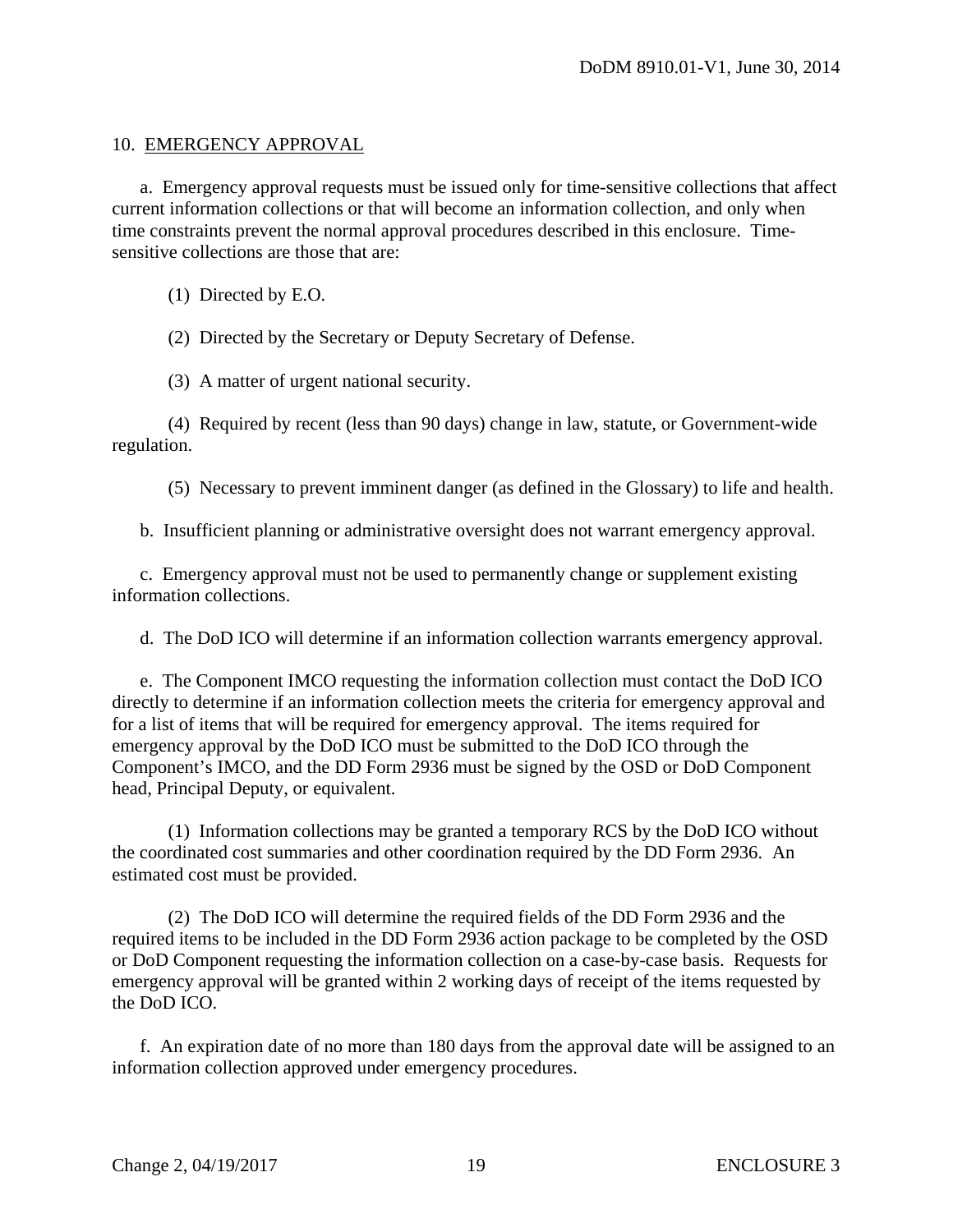#### 10. EMERGENCY APPROVAL

 a. Emergency approval requests must be issued only for time-sensitive collections that affect current information collections or that will become an information collection, and only when time constraints prevent the normal approval procedures described in this enclosure. Timesensitive collections are those that are:

(1) Directed by E.O.

(2) Directed by the Secretary or Deputy Secretary of Defense.

(3) A matter of urgent national security.

 (4) Required by recent (less than 90 days) change in law, statute, or Government-wide regulation.

(5) Necessary to prevent imminent danger (as defined in the Glossary) to life and health.

b. Insufficient planning or administrative oversight does not warrant emergency approval.

 c. Emergency approval must not be used to permanently change or supplement existing information collections.

d. The DoD ICO will determine if an information collection warrants emergency approval.

 e. The Component IMCO requesting the information collection must contact the DoD ICO directly to determine if an information collection meets the criteria for emergency approval and for a list of items that will be required for emergency approval. The items required for emergency approval by the DoD ICO must be submitted to the DoD ICO through the Component's IMCO, and the DD Form 2936 must be signed by the OSD or DoD Component head, Principal Deputy, or equivalent.

 (1) Information collections may be granted a temporary RCS by the DoD ICO without the coordinated cost summaries and other coordination required by the DD Form 2936. An estimated cost must be provided.

 (2) The DoD ICO will determine the required fields of the DD Form 2936 and the required items to be included in the DD Form 2936 action package to be completed by the OSD or DoD Component requesting the information collection on a case-by-case basis. Requests for emergency approval will be granted within 2 working days of receipt of the items requested by the DoD ICO.

 f. An expiration date of no more than 180 days from the approval date will be assigned to an information collection approved under emergency procedures.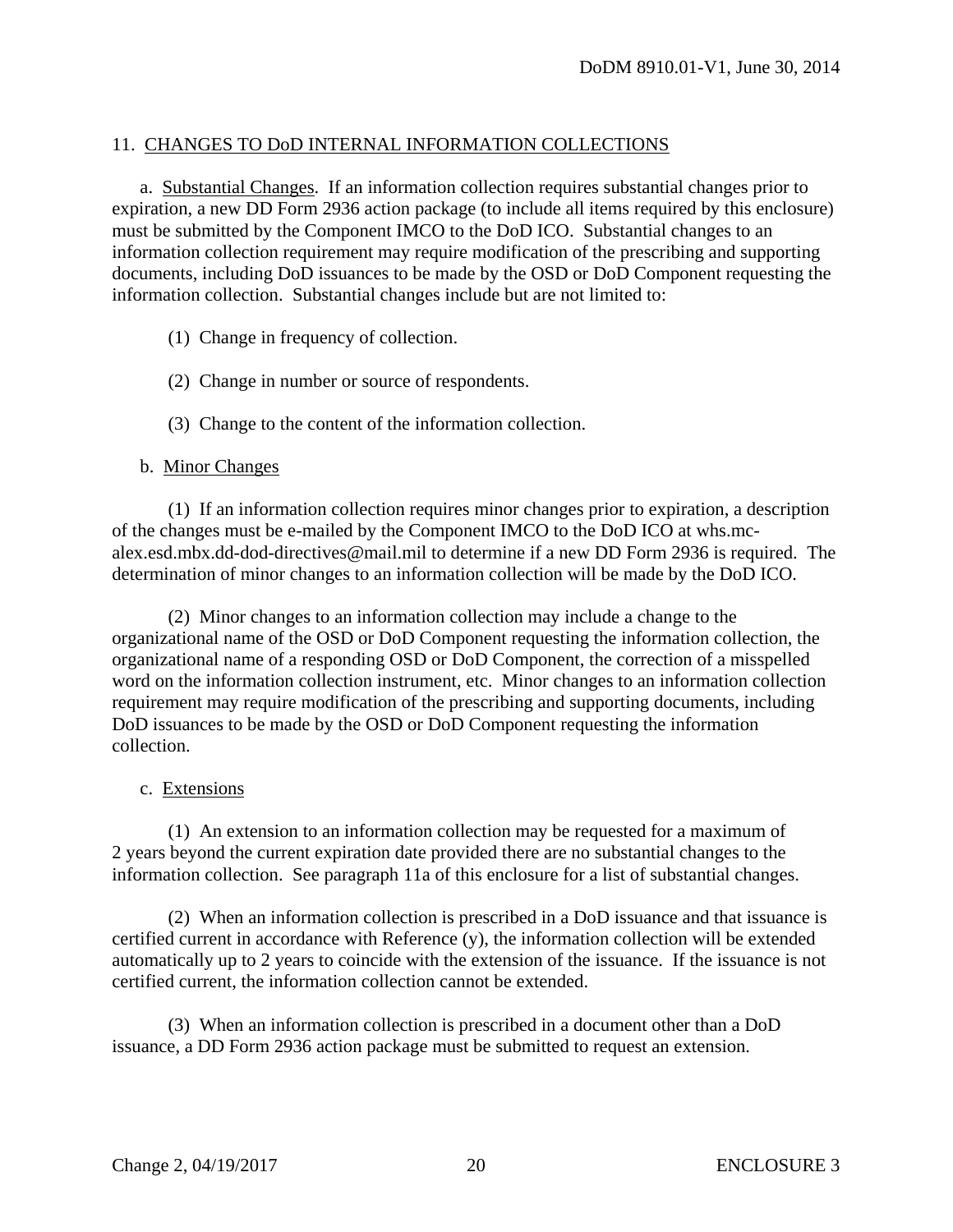#### 11. CHANGES TO DoD INTERNAL INFORMATION COLLECTIONS

a. Substantial Changes. If an information collection requires substantial changes prior to expiration, a new DD Form 2936 action package (to include all items required by this enclosure) must be submitted by the Component IMCO to the DoD ICO. Substantial changes to an information collection requirement may require modification of the prescribing and supporting documents, including DoD issuances to be made by the OSD or DoD Component requesting the information collection. Substantial changes include but are not limited to:

- (1) Change in frequency of collection.
- (2) Change in number or source of respondents.
- (3) Change to the content of the information collection.

#### b. Minor Changes

 (1) If an information collection requires minor changes prior to expiration, a description of the changes must be e-mailed by the Component IMCO to the DoD ICO at whs.mcalex.esd.mbx.dd-dod-directives@mail.mil to determine if a new DD Form 2936 is required. The determination of minor changes to an information collection will be made by the DoD ICO.

 (2) Minor changes to an information collection may include a change to the organizational name of the OSD or DoD Component requesting the information collection, the organizational name of a responding OSD or DoD Component, the correction of a misspelled word on the information collection instrument, etc. Minor changes to an information collection requirement may require modification of the prescribing and supporting documents, including DoD issuances to be made by the OSD or DoD Component requesting the information collection.

#### c. Extensions

 (1) An extension to an information collection may be requested for a maximum of 2 years beyond the current expiration date provided there are no substantial changes to the information collection. See paragraph 11a of this enclosure for a list of substantial changes.

 (2) When an information collection is prescribed in a DoD issuance and that issuance is certified current in accordance with Reference (y), the information collection will be extended automatically up to 2 years to coincide with the extension of the issuance. If the issuance is not certified current, the information collection cannot be extended.

 (3) When an information collection is prescribed in a document other than a DoD issuance, a DD Form 2936 action package must be submitted to request an extension.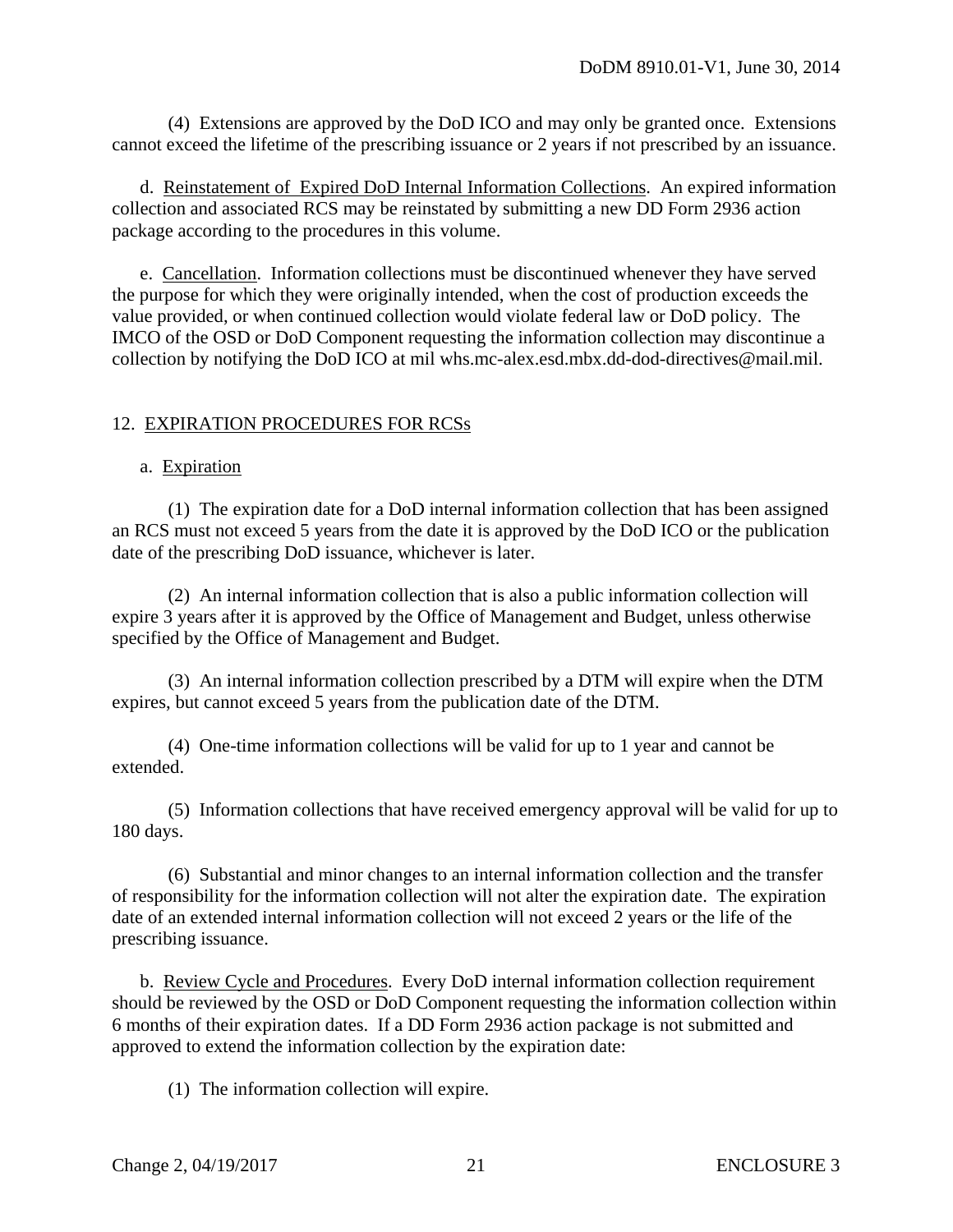(4) Extensions are approved by the DoD ICO and may only be granted once. Extensions cannot exceed the lifetime of the prescribing issuance or 2 years if not prescribed by an issuance.

 d. Reinstatement of Expired DoD Internal Information Collections. An expired information collection and associated RCS may be reinstated by submitting a new DD Form 2936 action package according to the procedures in this volume.

 e. Cancellation. Information collections must be discontinued whenever they have served the purpose for which they were originally intended, when the cost of production exceeds the value provided, or when continued collection would violate federal law or DoD policy. The IMCO of the OSD or DoD Component requesting the information collection may discontinue a collection by notifying the DoD ICO at mil whs.mc-alex.esd.mbx.dd-dod-directives@mail.mil.

## 12. EXPIRATION PROCEDURES FOR RCSs

#### a. Expiration

 (1) The expiration date for a DoD internal information collection that has been assigned an RCS must not exceed 5 years from the date it is approved by the DoD ICO or the publication date of the prescribing DoD issuance, whichever is later.

 (2) An internal information collection that is also a public information collection will expire 3 years after it is approved by the Office of Management and Budget, unless otherwise specified by the Office of Management and Budget.

 (3) An internal information collection prescribed by a DTM will expire when the DTM expires, but cannot exceed 5 years from the publication date of the DTM.

 (4) One-time information collections will be valid for up to 1 year and cannot be extended.

 (5) Information collections that have received emergency approval will be valid for up to 180 days.

 (6) Substantial and minor changes to an internal information collection and the transfer of responsibility for the information collection will not alter the expiration date. The expiration date of an extended internal information collection will not exceed 2 years or the life of the prescribing issuance.

 b. Review Cycle and Procedures. Every DoD internal information collection requirement should be reviewed by the OSD or DoD Component requesting the information collection within 6 months of their expiration dates. If a DD Form 2936 action package is not submitted and approved to extend the information collection by the expiration date:

(1) The information collection will expire.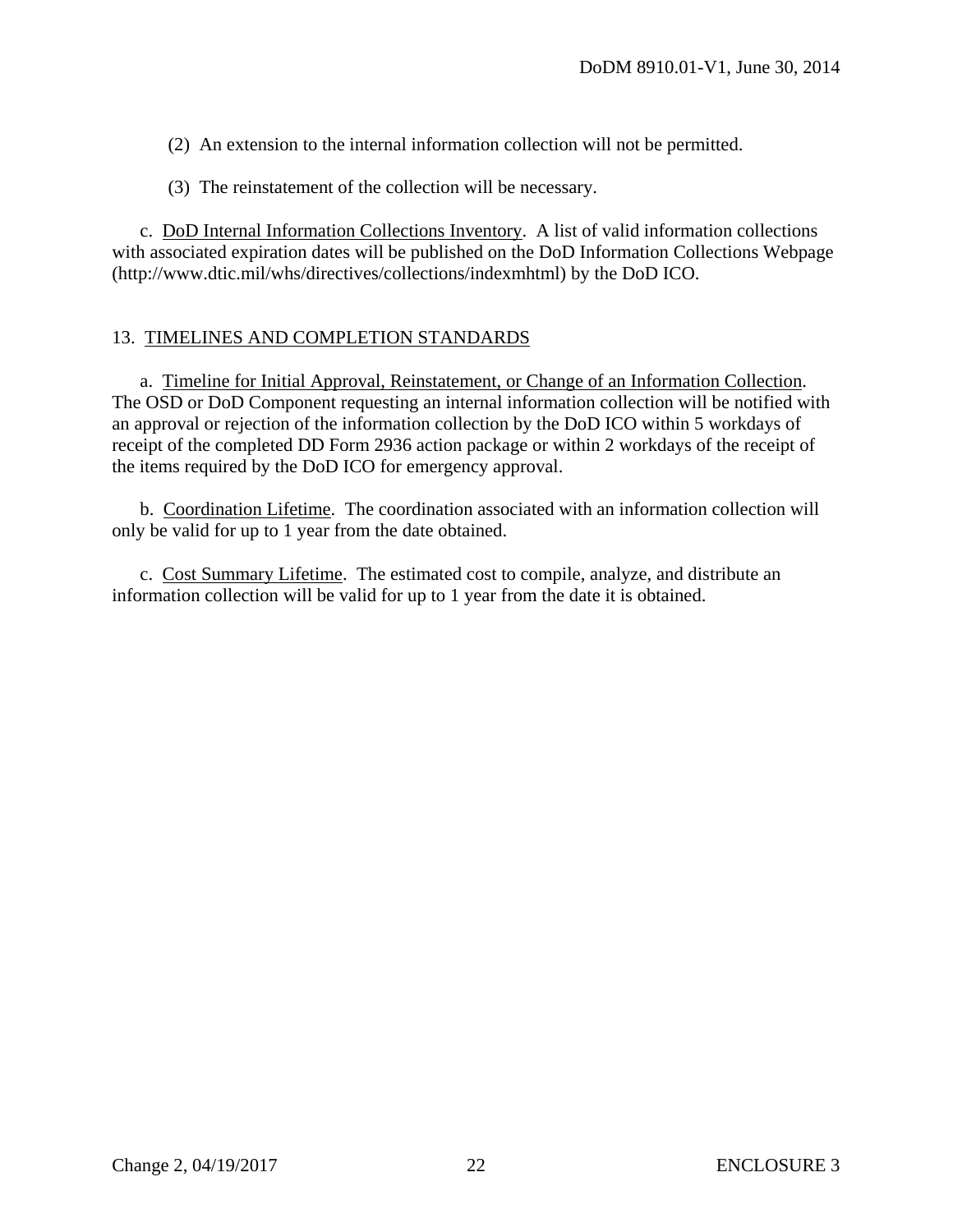(2) An extension to the internal information collection will not be permitted.

(3) The reinstatement of the collection will be necessary.

 c. DoD Internal Information Collections Inventory. A list of valid information collections with associated expiration dates will be published on the DoD Information Collections Webpage (http://www.dtic.mil/whs/directives/collections/indexmhtml) by the DoD ICO.

#### 13. TIMELINES AND COMPLETION STANDARDS

 a. Timeline for Initial Approval, Reinstatement, or Change of an Information Collection. The OSD or DoD Component requesting an internal information collection will be notified with an approval or rejection of the information collection by the DoD ICO within 5 workdays of receipt of the completed DD Form 2936 action package or within 2 workdays of the receipt of the items required by the DoD ICO for emergency approval.

 b. Coordination Lifetime. The coordination associated with an information collection will only be valid for up to 1 year from the date obtained.

 c. Cost Summary Lifetime. The estimated cost to compile, analyze, and distribute an information collection will be valid for up to 1 year from the date it is obtained.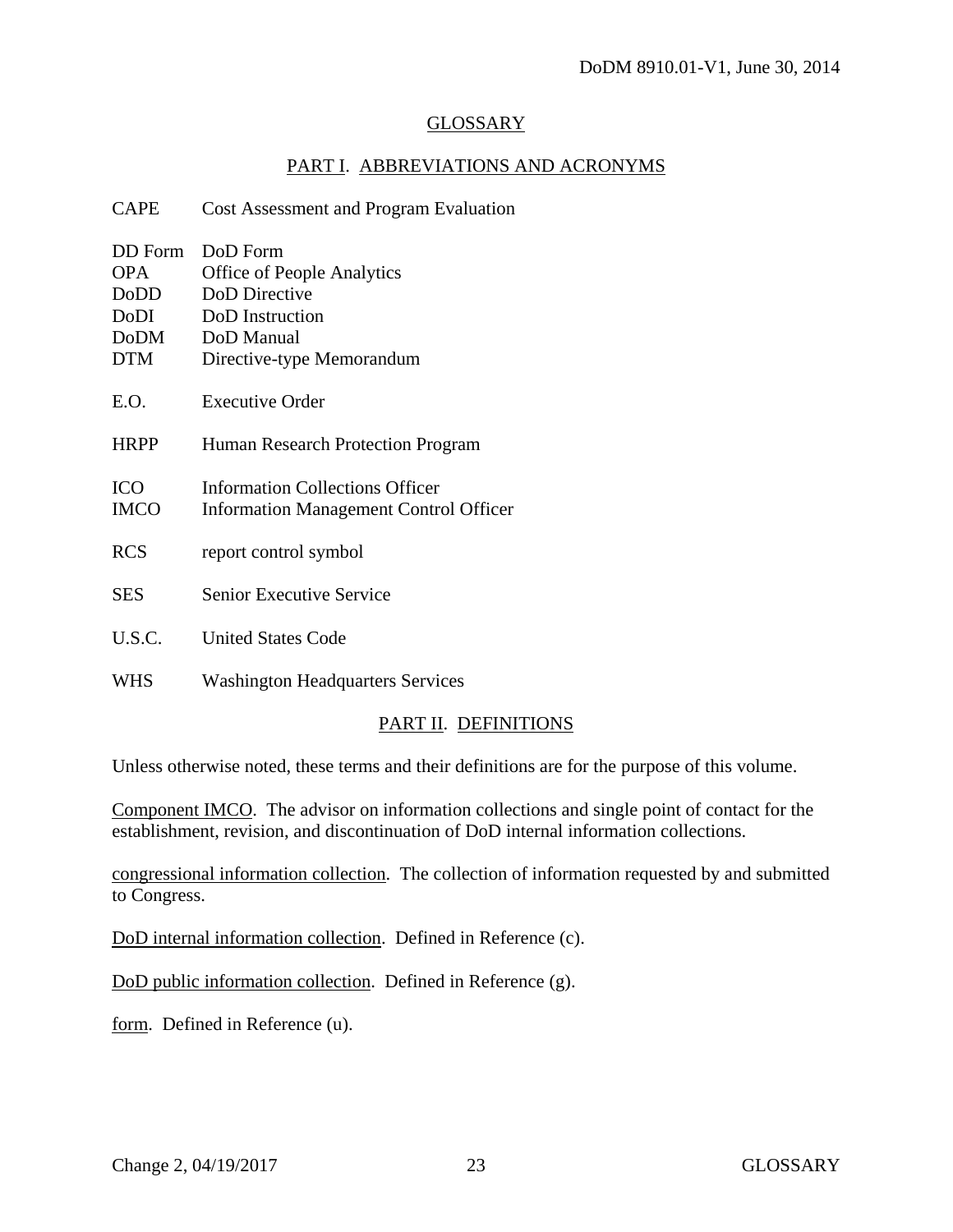#### GLOSSARY

## PART I. ABBREVIATIONS AND ACRONYMS

| <b>CAPE</b>                                                        | Cost Assessment and Program Evaluation                                                                                       |
|--------------------------------------------------------------------|------------------------------------------------------------------------------------------------------------------------------|
| DD Form<br><b>OPA</b><br>DoDD<br>DoDI<br><b>DoDM</b><br><b>DTM</b> | DoD Form<br><b>Office of People Analytics</b><br>DoD Directive<br>DoD Instruction<br>DoD Manual<br>Directive-type Memorandum |
| E.O.                                                               | Executive Order                                                                                                              |
| <b>HRPP</b>                                                        | Human Research Protection Program                                                                                            |
| <b>ICO</b><br><b>IMCO</b>                                          | <b>Information Collections Officer</b><br><b>Information Management Control Officer</b>                                      |
| <b>RCS</b>                                                         | report control symbol                                                                                                        |
| <b>SES</b>                                                         | <b>Senior Executive Service</b>                                                                                              |
| U.S.C.                                                             | <b>United States Code</b>                                                                                                    |
| <b>WHS</b>                                                         | <b>Washington Headquarters Services</b>                                                                                      |

# PART II. DEFINITIONS

Unless otherwise noted, these terms and their definitions are for the purpose of this volume.

Component IMCO. The advisor on information collections and single point of contact for the establishment, revision, and discontinuation of DoD internal information collections.

congressional information collection. The collection of information requested by and submitted to Congress.

DoD internal information collection. Defined in Reference (c).

DoD public information collection. Defined in Reference (g).

form. Defined in Reference (u).